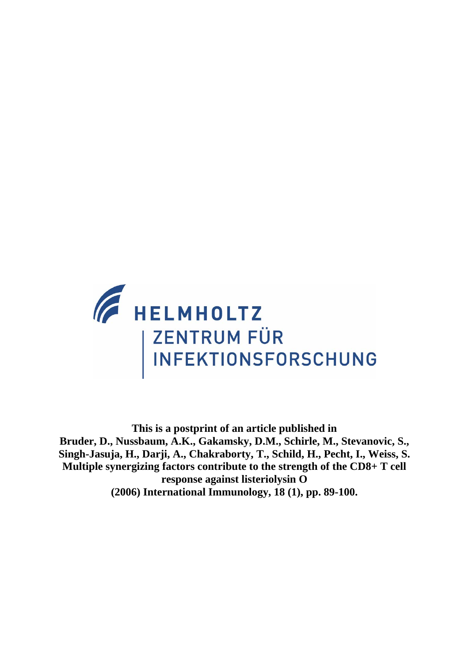

**This is a postprint of an article published in Bruder, D., Nussbaum, A.K., Gakamsky, D.M., Schirle, M., Stevanovic, S., Singh-Jasuja, H., Darji, A., Chakraborty, T., Schild, H., Pecht, I., Weiss, S. Multiple synergizing factors contribute to the strength of the CD8+ T cell response against listeriolysin O (2006) International Immunology, 18 (1), pp. 89-100.**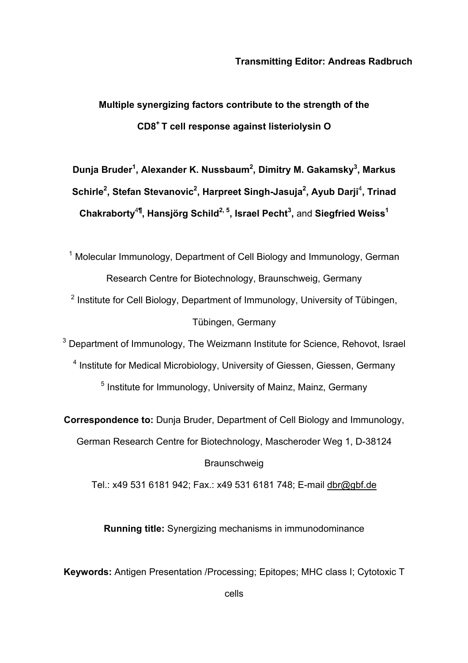**Multiple synergizing factors contribute to the strength of the CD8+ T cell response against listeriolysin O** 

**Dunja Bruder<sup>1</sup> , Alexander K. Nussbaum2 , Dimitry M. Gakamsky3 , Markus**  Schirle<sup>2</sup>, Stefan Stevanovic<sup>2</sup>, Harpreet Singh-Jasuja<sup>2</sup>, Ayub Darji<sup>4</sup>, Trinad  ${\sf Chakraborty}^{\rm 4\P}$ ,  ${\sf Hansjörg Schild}^{2,5},$  Israel Pecht $^3$ , and Siegfried Weiss $^1$ 

<sup>1</sup> Molecular Immunology, Department of Cell Biology and Immunology, German Research Centre for Biotechnology, Braunschweig, Germany

<sup>2</sup> Institute for Cell Biology, Department of Immunology, University of Tübingen, Tübingen, Germany

<sup>3</sup> Department of Immunology, The Weizmann Institute for Science, Rehovot, Israel

<sup>4</sup> Institute for Medical Microbiology, University of Giessen, Giessen, Germany <sup>5</sup> Institute for Immunology, University of Mainz, Mainz, Germany

**Correspondence to:** Dunja Bruder, Department of Cell Biology and Immunology,

German Research Centre for Biotechnology, Mascheroder Weg 1, D-38124 **Braunschweig** 

Tel.: x49 531 6181 942; Fax.: x49 531 6181 748; E-mail dbr@gbf.de

**Running title:** Synergizing mechanisms in immunodominance

**Keywords:** Antigen Presentation /Processing; Epitopes; MHC class I; Cytotoxic T

cells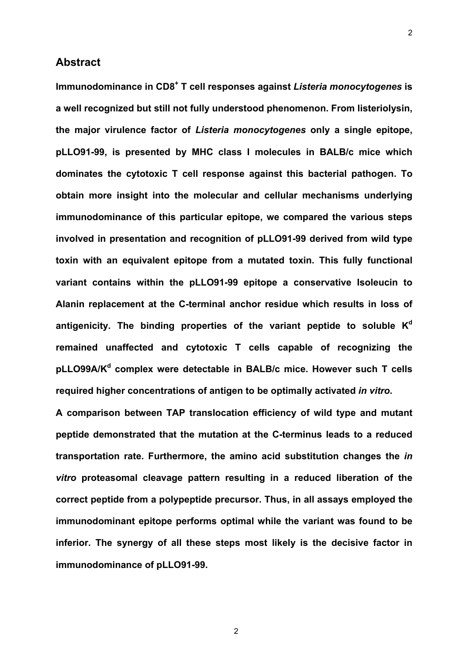# **Abstract**

Immunodominance in CD8<sup>+</sup> T cell responses against *Listeria monocytogenes* is **a well recognized but still not fully understood phenomenon. From listeriolysin, the major virulence factor of** *Listeria monocytogenes* **only a single epitope, pLLO91-99, is presented by MHC class I molecules in BALB/c mice which dominates the cytotoxic T cell response against this bacterial pathogen. To obtain more insight into the molecular and cellular mechanisms underlying immunodominance of this particular epitope, we compared the various steps involved in presentation and recognition of pLLO91-99 derived from wild type toxin with an equivalent epitope from a mutated toxin. This fully functional variant contains within the pLLO91-99 epitope a conservative Isoleucin to Alanin replacement at the C-terminal anchor residue which results in loss of**  antigenicity. The binding properties of the variant peptide to soluble K<sup>d</sup> **remained unaffected and cytotoxic T cells capable of recognizing the**  pLLO99A/K<sup>d</sup> complex were detectable in BALB/c mice. However such T cells **required higher concentrations of antigen to be optimally activated** *in vitro***.** 

**A comparison between TAP translocation efficiency of wild type and mutant peptide demonstrated that the mutation at the C-terminus leads to a reduced transportation rate. Furthermore, the amino acid substitution changes the** *in vitro* **proteasomal cleavage pattern resulting in a reduced liberation of the correct peptide from a polypeptide precursor. Thus, in all assays employed the immunodominant epitope performs optimal while the variant was found to be inferior. The synergy of all these steps most likely is the decisive factor in immunodominance of pLLO91-99.**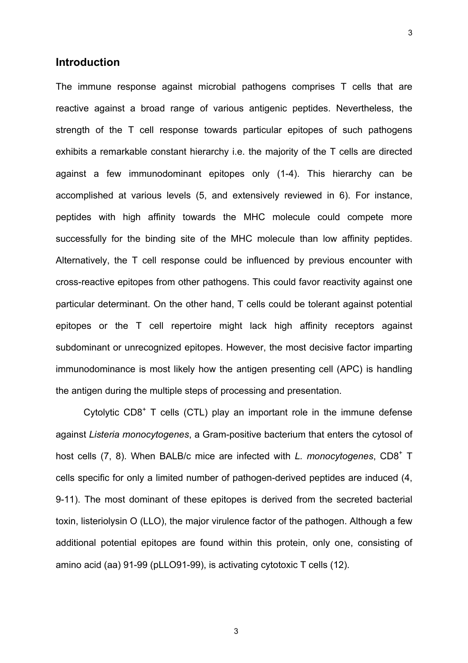# **Introduction**

The immune response against microbial pathogens comprises T cells that are reactive against a broad range of various antigenic peptides. Nevertheless, the strength of the T cell response towards particular epitopes of such pathogens exhibits a remarkable constant hierarchy i.e. the majority of the T cells are directed against a few immunodominant epitopes only (1-4). This hierarchy can be accomplished at various levels (5, and extensively reviewed in 6). For instance, peptides with high affinity towards the MHC molecule could compete more successfully for the binding site of the MHC molecule than low affinity peptides. Alternatively, the T cell response could be influenced by previous encounter with cross-reactive epitopes from other pathogens. This could favor reactivity against one particular determinant. On the other hand, T cells could be tolerant against potential epitopes or the T cell repertoire might lack high affinity receptors against subdominant or unrecognized epitopes. However, the most decisive factor imparting immunodominance is most likely how the antigen presenting cell (APC) is handling the antigen during the multiple steps of processing and presentation.

Cytolytic CD8<sup>+</sup> T cells (CTL) play an important role in the immune defense against *Listeria monocytogenes*, a Gram-positive bacterium that enters the cytosol of host cells (7, 8). When BALB/c mice are infected with *L. monocytogenes*, CD8<sup>+</sup> T cells specific for only a limited number of pathogen-derived peptides are induced (4, 9-11). The most dominant of these epitopes is derived from the secreted bacterial toxin, listeriolysin O (LLO), the major virulence factor of the pathogen. Although a few additional potential epitopes are found within this protein, only one, consisting of amino acid (aa) 91-99 (pLLO91-99), is activating cytotoxic T cells (12).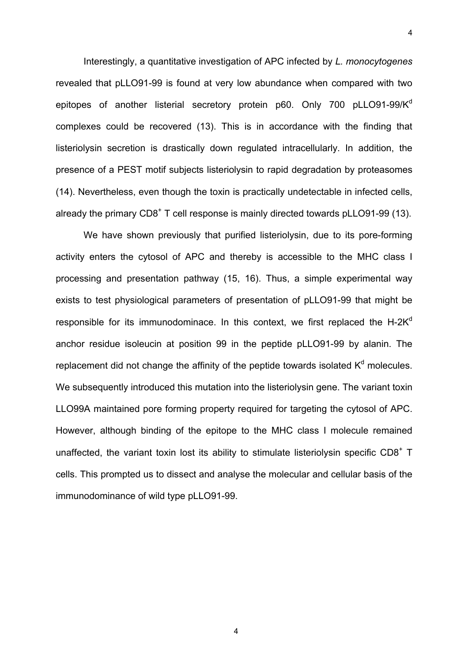Interestingly, a quantitative investigation of APC infected by *L. monocytogenes* revealed that pLLO91-99 is found at very low abundance when compared with two epitopes of another listerial secretory protein p60. Only 700 pLLO91-99/K<sup>d</sup> complexes could be recovered (13). This is in accordance with the finding that listeriolysin secretion is drastically down regulated intracellularly. In addition, the presence of a PEST motif subjects listeriolysin to rapid degradation by proteasomes (14). Nevertheless, even though the toxin is practically undetectable in infected cells, already the primary  $CDB^+$  T cell response is mainly directed towards pLLO91-99 (13).

 We have shown previously that purified listeriolysin, due to its pore-forming activity enters the cytosol of APC and thereby is accessible to the MHC class I processing and presentation pathway (15, 16). Thus, a simple experimental way exists to test physiological parameters of presentation of pLLO91-99 that might be responsible for its immunodominace. In this context, we first replaced the H-2 $K<sup>d</sup>$ anchor residue isoleucin at position 99 in the peptide pLLO91-99 by alanin. The replacement did not change the affinity of the peptide towards isolated  $K<sup>d</sup>$  molecules. We subsequently introduced this mutation into the listeriolysin gene. The variant toxin LLO99A maintained pore forming property required for targeting the cytosol of APC. However, although binding of the epitope to the MHC class I molecule remained unaffected, the variant toxin lost its ability to stimulate listeriolysin specific CD8<sup>+</sup> T cells. This prompted us to dissect and analyse the molecular and cellular basis of the immunodominance of wild type pLLO91-99.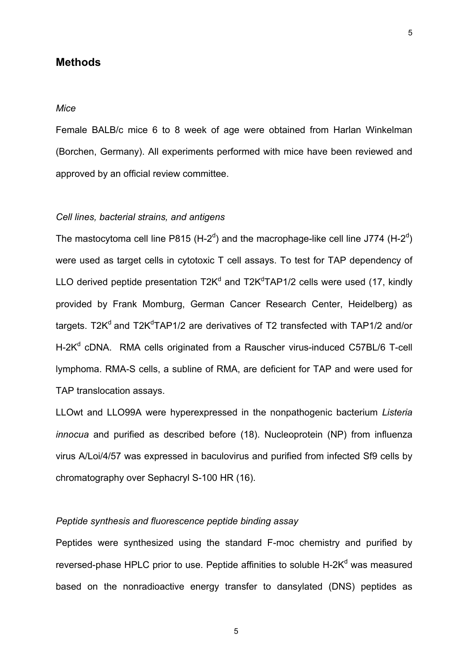# **Methods**

#### *Mice*

Female BALB/c mice 6 to 8 week of age were obtained from Harlan Winkelman (Borchen, Germany). All experiments performed with mice have been reviewed and approved by an official review committee.

#### *Cell lines, bacterial strains, and antigens*

The mastocytoma cell line P815 (H-2<sup>d</sup>) and the macrophage-like cell line J774 (H-2<sup>d</sup>) were used as target cells in cytotoxic T cell assays. To test for TAP dependency of LLO derived peptide presentation  $T2K^d$  and  $T2K^dTAP1/2$  cells were used (17, kindly provided by Frank Momburg, German Cancer Research Center, Heidelberg) as targets. T2K<sup>d</sup> and T2K<sup>d</sup>TAP1/2 are derivatives of T2 transfected with TAP1/2 and/or H-2K<sup>d</sup> cDNA. RMA cells originated from a Rauscher virus-induced C57BL/6 T-cell lymphoma. RMA-S cells, a subline of RMA, are deficient for TAP and were used for TAP translocation assays.

LLOwt and LLO99A were hyperexpressed in the nonpathogenic bacterium *Listeria innocua* and purified as described before (18). Nucleoprotein (NP) from influenza virus A/Loi/4/57 was expressed in baculovirus and purified from infected Sf9 cells by chromatography over Sephacryl S-100 HR (16).

# *Peptide synthesis and fluorescence peptide binding assay*

Peptides were synthesized using the standard F-moc chemistry and purified by reversed-phase HPLC prior to use. Peptide affinities to soluble H-2K<sup>d</sup> was measured based on the nonradioactive energy transfer to dansylated (DNS) peptides as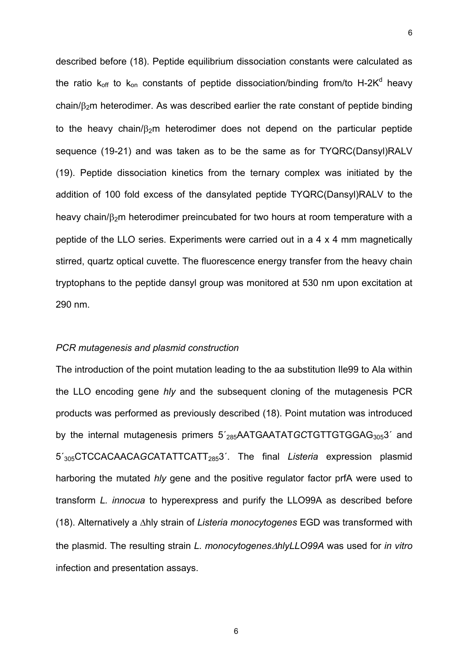described before (18). Peptide equilibrium dissociation constants were calculated as the ratio  $k_{off}$  to  $k_{on}$  constants of peptide dissociation/binding from/to H-2K<sup>d</sup> heavy chain/ $\beta$ <sub>2</sub>m heterodimer. As was described earlier the rate constant of peptide binding to the heavy chain/ $\beta_2$ m heterodimer does not depend on the particular peptide sequence (19-21) and was taken as to be the same as for TYQRC(Dansyl)RALV (19). Peptide dissociation kinetics from the ternary complex was initiated by the addition of 100 fold excess of the dansylated peptide TYQRC(Dansyl)RALV to the heavy chain/ $\beta_2$ m heterodimer preincubated for two hours at room temperature with a peptide of the LLO series. Experiments were carried out in a 4 x 4 mm magnetically stirred, quartz optical cuvette. The fluorescence energy transfer from the heavy chain tryptophans to the peptide dansyl group was monitored at 530 nm upon excitation at 290 nm.

### *PCR mutagenesis and plasmid construction*

The introduction of the point mutation leading to the aa substitution Ile99 to Ala within the LLO encoding gene *hly* and the subsequent cloning of the mutagenesis PCR products was performed as previously described (18). Point mutation was introduced by the internal mutagenesis primers 5<sup>'</sup><sub>285</sub>AATGAATAT*GC*TGTTGTGGAG<sub>305</sub>3<sup>'</sup> and 5´305CTCCACAACA*GC*ATATTCATT2853´. The final *Listeria* expression plasmid harboring the mutated *hly* gene and the positive regulator factor prfA were used to transform *L. innocua* to hyperexpress and purify the LLO99A as described before (18). Alternatively a ∆hly strain of *Listeria monocytogenes* EGD was transformed with the plasmid. The resulting strain *L. monocytogenes*∆*hlyLLO99A* was used for *in vitro* infection and presentation assays.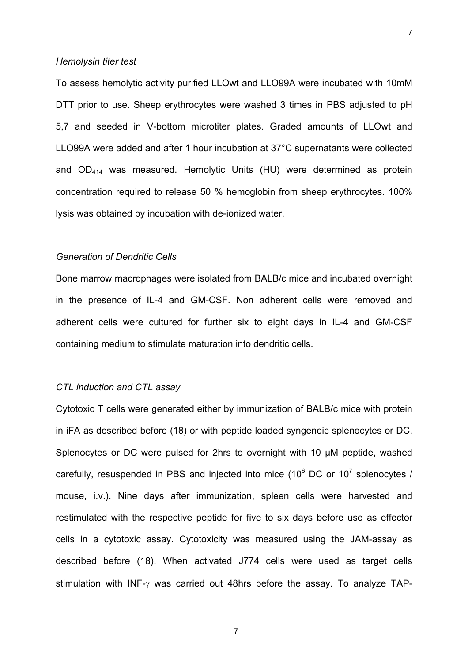#### *Hemolysin titer test*

To assess hemolytic activity purified LLOwt and LLO99A were incubated with 10mM DTT prior to use. Sheep erythrocytes were washed 3 times in PBS adjusted to pH 5,7 and seeded in V-bottom microtiter plates. Graded amounts of LLOwt and LLO99A were added and after 1 hour incubation at 37°C supernatants were collected and OD414 was measured. Hemolytic Units (HU) were determined as protein concentration required to release 50 % hemoglobin from sheep erythrocytes. 100% lysis was obtained by incubation with de-ionized water.

### *Generation of Dendritic Cells*

Bone marrow macrophages were isolated from BALB/c mice and incubated overnight in the presence of IL-4 and GM-CSF. Non adherent cells were removed and adherent cells were cultured for further six to eight days in IL-4 and GM-CSF containing medium to stimulate maturation into dendritic cells.

# *CTL induction and CTL assay*

Cytotoxic T cells were generated either by immunization of BALB/c mice with protein in iFA as described before (18) or with peptide loaded syngeneic splenocytes or DC. Splenocytes or DC were pulsed for 2hrs to overnight with 10 µM peptide, washed carefully, resuspended in PBS and injected into mice (10 $^6$  DC or 10<sup>7</sup> splenocytes / mouse, i.v.). Nine days after immunization, spleen cells were harvested and restimulated with the respective peptide for five to six days before use as effector cells in a cytotoxic assay. Cytotoxicity was measured using the JAM-assay as described before (18). When activated J774 cells were used as target cells stimulation with INF-γ was carried out 48hrs before the assay. To analyze TAP-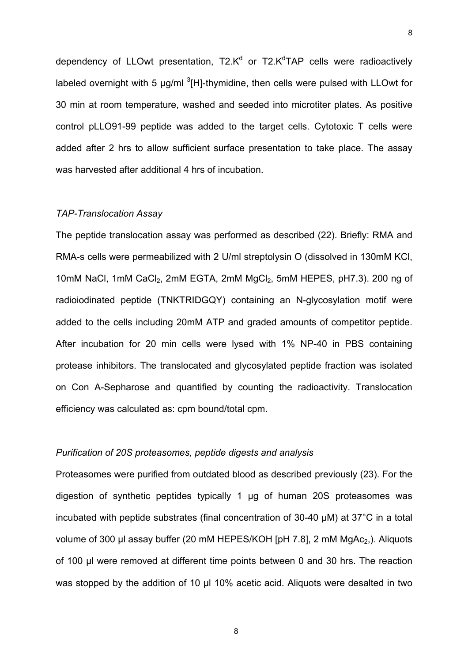dependency of LLOwt presentation, T2.K<sup>d</sup> or T2.K<sup>d</sup>TAP cells were radioactively labeled overnight with 5  $\mu$ g/ml  ${}^{3}$ [H]-thymidine, then cells were pulsed with LLOwt for 30 min at room temperature, washed and seeded into microtiter plates. As positive control pLLO91-99 peptide was added to the target cells. Cytotoxic T cells were added after 2 hrs to allow sufficient surface presentation to take place. The assay was harvested after additional 4 hrs of incubation.

### *TAP-Translocation Assay*

The peptide translocation assay was performed as described (22). Briefly: RMA and RMA-s cells were permeabilized with 2 U/ml streptolysin O (dissolved in 130mM KCl, 10mM NaCl, 1mM CaCl<sub>2</sub>, 2mM EGTA, 2mM MgCl<sub>2</sub>, 5mM HEPES, pH7.3). 200 ng of radioiodinated peptide (TNKTRIDGQY) containing an N-glycosylation motif were added to the cells including 20mM ATP and graded amounts of competitor peptide. After incubation for 20 min cells were lysed with 1% NP-40 in PBS containing protease inhibitors. The translocated and glycosylated peptide fraction was isolated on Con A-Sepharose and quantified by counting the radioactivity. Translocation efficiency was calculated as: cpm bound/total cpm.

# *Purification of 20S proteasomes, peptide digests and analysis*

Proteasomes were purified from outdated blood as described previously (23). For the digestion of synthetic peptides typically 1 µg of human 20S proteasomes was incubated with peptide substrates (final concentration of 30-40 µM) at 37°C in a total volume of 300 µl assay buffer (20 mM HEPES/KOH [pH 7.8], 2 mM  $MgAc<sub>2</sub>$ ). Aliquots of 100 µl were removed at different time points between 0 and 30 hrs. The reaction was stopped by the addition of 10 µl 10% acetic acid. Aliquots were desalted in two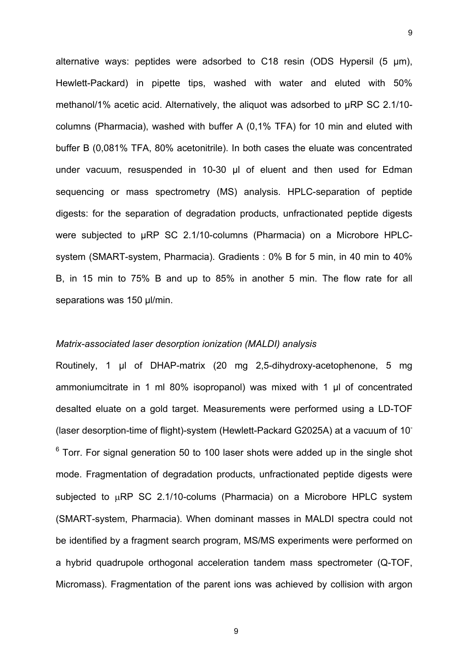alternative ways: peptides were adsorbed to C18 resin (ODS Hypersil (5 µm), Hewlett-Packard) in pipette tips, washed with water and eluted with 50% methanol/1% acetic acid. Alternatively, the aliquot was adsorbed to µRP SC 2.1/10 columns (Pharmacia), washed with buffer A (0,1% TFA) for 10 min and eluted with buffer B (0,081% TFA, 80% acetonitrile). In both cases the eluate was concentrated under vacuum, resuspended in 10-30 µl of eluent and then used for Edman sequencing or mass spectrometry (MS) analysis. HPLC-separation of peptide digests: for the separation of degradation products, unfractionated peptide digests were subjected to µRP SC 2.1/10-columns (Pharmacia) on a Microbore HPLCsystem (SMART-system, Pharmacia). Gradients : 0% B for 5 min, in 40 min to 40% B, in 15 min to 75% B and up to 85% in another 5 min. The flow rate for all separations was 150 µl/min.

# *Matrix-associated laser desorption ionization (MALDI) analysis*

Routinely, 1 µl of DHAP-matrix (20 mg 2,5-dihydroxy-acetophenone, 5 mg ammoniumcitrate in 1 ml 80% isopropanol) was mixed with 1 µl of concentrated desalted eluate on a gold target. Measurements were performed using a LD-TOF (laser desorption-time of flight)-system (Hewlett-Packard G2025A) at a vacuum of 10-  $6$  Torr. For signal generation 50 to 100 laser shots were added up in the single shot mode. Fragmentation of degradation products, unfractionated peptide digests were subjected to uRP SC 2.1/10-colums (Pharmacia) on a Microbore HPLC system (SMART-system, Pharmacia). When dominant masses in MALDI spectra could not be identified by a fragment search program, MS/MS experiments were performed on a hybrid quadrupole orthogonal acceleration tandem mass spectrometer (Q-TOF, Micromass). Fragmentation of the parent ions was achieved by collision with argon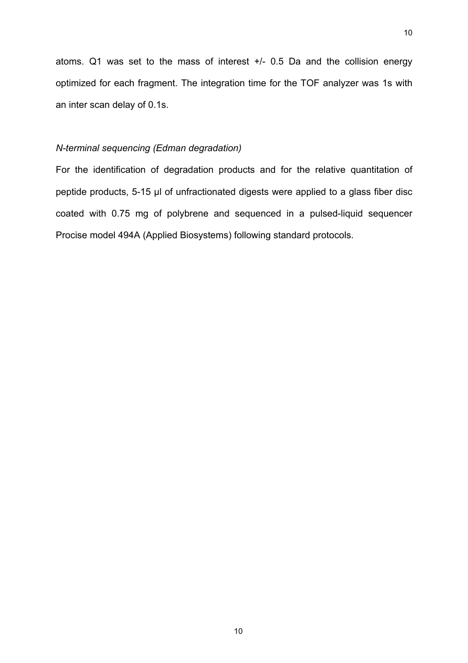atoms. Q1 was set to the mass of interest +/- 0.5 Da and the collision energy optimized for each fragment. The integration time for the TOF analyzer was 1s with an inter scan delay of 0.1s.

## *N-terminal sequencing (Edman degradation)*

For the identification of degradation products and for the relative quantitation of peptide products, 5-15 µl of unfractionated digests were applied to a glass fiber disc coated with 0.75 mg of polybrene and sequenced in a pulsed-liquid sequencer Procise model 494A (Applied Biosystems) following standard protocols.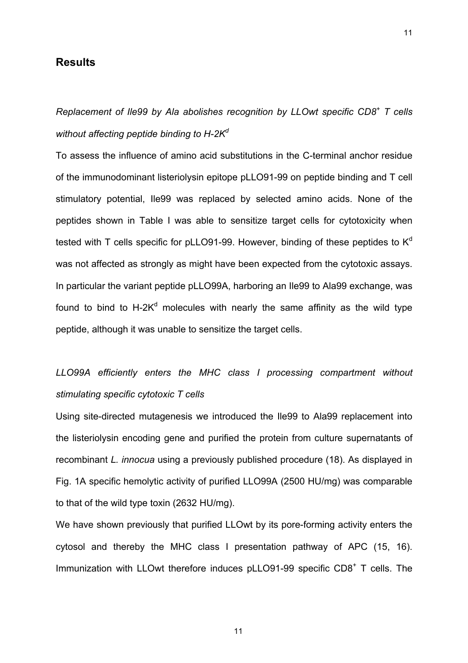# **Results**

*Replacement of Ile99 by Ala abolishes recognition by LLOwt specific CD8<sup>+</sup> T cells without affecting peptide binding to H-2K<sup>d</sup>*

To assess the influence of amino acid substitutions in the C-terminal anchor residue of the immunodominant listeriolysin epitope pLLO91-99 on peptide binding and T cell stimulatory potential, Ile99 was replaced by selected amino acids. None of the peptides shown in Table I was able to sensitize target cells for cytotoxicity when tested with T cells specific for pLLO91-99. However, binding of these peptides to  $K<sup>d</sup>$ was not affected as strongly as might have been expected from the cytotoxic assays. In particular the variant peptide pLLO99A, harboring an Ile99 to Ala99 exchange, was found to bind to H-2K<sup>d</sup> molecules with nearly the same affinity as the wild type peptide, although it was unable to sensitize the target cells.

# *LLO99A efficiently enters the MHC class I processing compartment without stimulating specific cytotoxic T cells*

Using site-directed mutagenesis we introduced the Ile99 to Ala99 replacement into the listeriolysin encoding gene and purified the protein from culture supernatants of recombinant *L. innocua* using a previously published procedure (18). As displayed in Fig. 1A specific hemolytic activity of purified LLO99A (2500 HU/mg) was comparable to that of the wild type toxin (2632 HU/mg).

We have shown previously that purified LLOwt by its pore-forming activity enters the cytosol and thereby the MHC class I presentation pathway of APC (15, 16). Immunization with LLOwt therefore induces pLLO91-99 specific CD8<sup>+</sup> T cells. The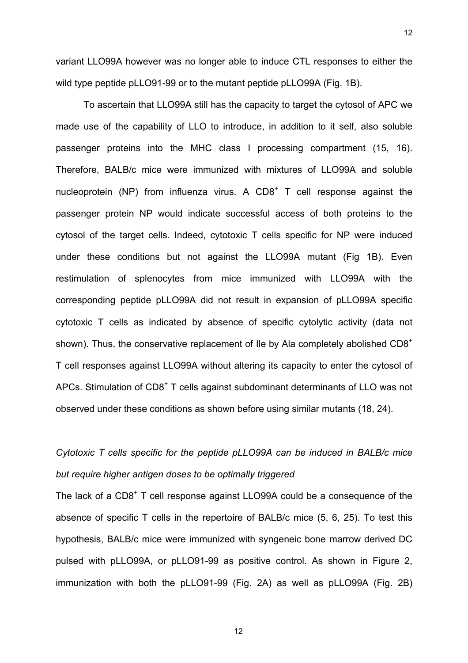variant LLO99A however was no longer able to induce CTL responses to either the wild type peptide pLLO91-99 or to the mutant peptide pLLO99A (Fig. 1B).

12

 To ascertain that LLO99A still has the capacity to target the cytosol of APC we made use of the capability of LLO to introduce, in addition to it self, also soluble passenger proteins into the MHC class I processing compartment (15, 16). Therefore, BALB/c mice were immunized with mixtures of LLO99A and soluble nucleoprotein (NP) from influenza virus. A CD8<sup>+</sup> T cell response against the passenger protein NP would indicate successful access of both proteins to the cytosol of the target cells. Indeed, cytotoxic T cells specific for NP were induced under these conditions but not against the LLO99A mutant (Fig 1B). Even restimulation of splenocytes from mice immunized with LLO99A with the corresponding peptide pLLO99A did not result in expansion of pLLO99A specific cytotoxic T cells as indicated by absence of specific cytolytic activity (data not shown). Thus, the conservative replacement of Ile by Ala completely abolished CD8<sup>+</sup> T cell responses against LLO99A without altering its capacity to enter the cytosol of APCs. Stimulation of CD8<sup>+</sup> T cells against subdominant determinants of LLO was not observed under these conditions as shown before using similar mutants (18, 24).

# *Cytotoxic T cells specific for the peptide pLLO99A can be induced in BALB/c mice but require higher antigen doses to be optimally triggered*

The lack of a CD8<sup>+</sup> T cell response against LLO99A could be a consequence of the absence of specific T cells in the repertoire of BALB/c mice (5, 6, 25). To test this hypothesis, BALB/c mice were immunized with syngeneic bone marrow derived DC pulsed with pLLO99A, or pLLO91-99 as positive control. As shown in Figure 2, immunization with both the pLLO91-99 (Fig. 2A) as well as pLLO99A (Fig. 2B)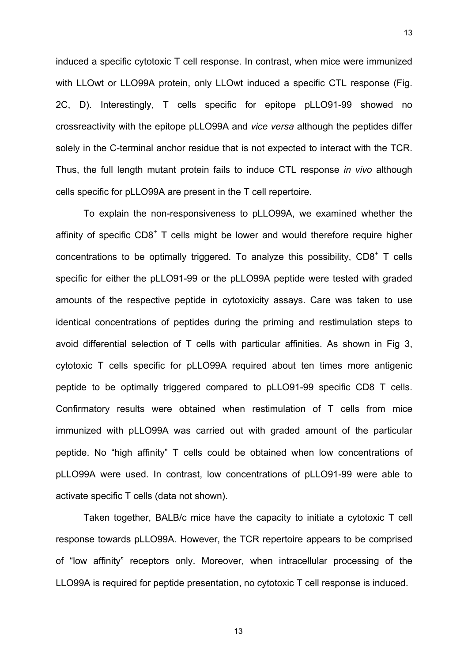induced a specific cytotoxic T cell response. In contrast, when mice were immunized with LLOwt or LLO99A protein, only LLOwt induced a specific CTL response (Fig. 2C, D). Interestingly, T cells specific for epitope pLLO91-99 showed no crossreactivity with the epitope pLLO99A and *vice versa* although the peptides differ solely in the C-terminal anchor residue that is not expected to interact with the TCR. Thus, the full length mutant protein fails to induce CTL response *in vivo* although cells specific for pLLO99A are present in the T cell repertoire.

13

 To explain the non-responsiveness to pLLO99A, we examined whether the affinity of specific  $CD8<sup>+</sup>$  T cells might be lower and would therefore require higher concentrations to be optimally triggered. To analyze this possibility,  $CDS<sup>+</sup>$  T cells specific for either the pLLO91-99 or the pLLO99A peptide were tested with graded amounts of the respective peptide in cytotoxicity assays. Care was taken to use identical concentrations of peptides during the priming and restimulation steps to avoid differential selection of T cells with particular affinities. As shown in Fig 3, cytotoxic T cells specific for pLLO99A required about ten times more antigenic peptide to be optimally triggered compared to pLLO91-99 specific CD8 T cells. Confirmatory results were obtained when restimulation of T cells from mice immunized with pLLO99A was carried out with graded amount of the particular peptide. No "high affinity" T cells could be obtained when low concentrations of pLLO99A were used. In contrast, low concentrations of pLLO91-99 were able to activate specific T cells (data not shown).

 Taken together, BALB/c mice have the capacity to initiate a cytotoxic T cell response towards pLLO99A. However, the TCR repertoire appears to be comprised of "low affinity" receptors only. Moreover, when intracellular processing of the LLO99A is required for peptide presentation, no cytotoxic T cell response is induced.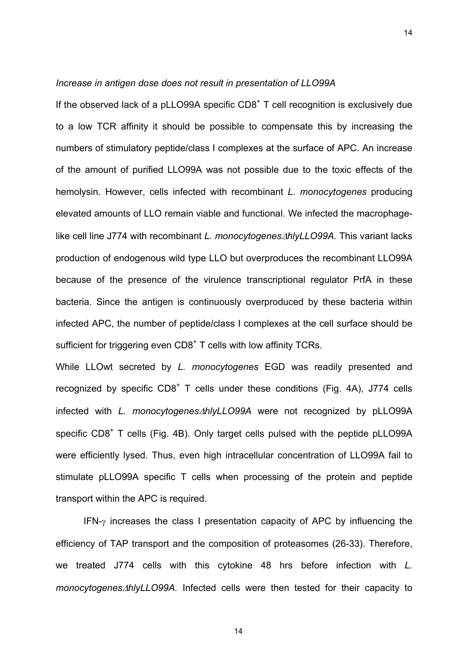#### *Increase in antigen dose does not result in presentation of LLO99A*

If the observed lack of a pLLO99A specific  $CDB<sup>+</sup> T$  cell recognition is exclusively due to a low TCR affinity it should be possible to compensate this by increasing the numbers of stimulatory peptide/class I complexes at the surface of APC. An increase of the amount of purified LLO99A was not possible due to the toxic effects of the hemolysin. However, cells infected with recombinant *L. monocytogenes* producing elevated amounts of LLO remain viable and functional. We infected the macrophagelike cell line J774 with recombinant *L. monocytogenes*∆*hlyLLO99A.* This variant lacks production of endogenous wild type LLO but overproduces the recombinant LLO99A because of the presence of the virulence transcriptional regulator PrfA in these bacteria. Since the antigen is continuously overproduced by these bacteria within infected APC, the number of peptide/class I complexes at the cell surface should be sufficient for triggering even  $CDS<sup>+</sup> T$  cells with low affinity TCRs.

While LLOwt secreted by *L. monocytogenes* EGD was readily presented and recognized by specific  $CD8<sup>+</sup>$  T cells under these conditions (Fig. 4A), J774 cells infected with *L. monocytogenes*∆*hlyLLO99A* were not recognized by pLLO99A specific CD8<sup>+</sup> T cells (Fig. 4B). Only target cells pulsed with the peptide pLLO99A were efficiently lysed. Thus, even high intracellular concentration of LLO99A fail to stimulate pLLO99A specific T cells when processing of the protein and peptide transport within the APC is required.

 IFN-γ increases the class I presentation capacity of APC by influencing the efficiency of TAP transport and the composition of proteasomes (26-33). Therefore, we treated J774 cells with this cytokine 48 hrs before infection with *L. monocytogenes*∆*hlyLLO99A.* Infected cells were then tested for their capacity to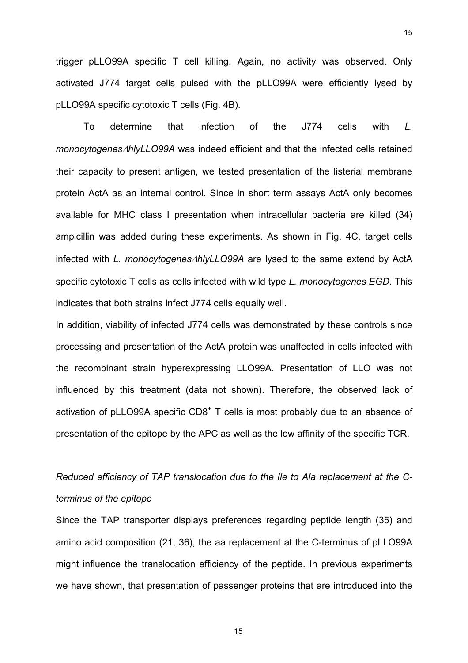trigger pLLO99A specific T cell killing. Again, no activity was observed. Only activated J774 target cells pulsed with the pLLO99A were efficiently lysed by pLLO99A specific cytotoxic T cells (Fig. 4B).

 To determine that infection of the J774 cells with *L. monocytogenes*∆*hlyLLO99A* was indeed efficient and that the infected cells retained their capacity to present antigen, we tested presentation of the listerial membrane protein ActA as an internal control. Since in short term assays ActA only becomes available for MHC class I presentation when intracellular bacteria are killed (34) ampicillin was added during these experiments. As shown in Fig. 4C, target cells infected with *L. monocytogenes*∆*hlyLLO99A* are lysed to the same extend by ActA specific cytotoxic T cells as cells infected with wild type *L. monocytogenes EGD*. This indicates that both strains infect J774 cells equally well.

In addition, viability of infected J774 cells was demonstrated by these controls since processing and presentation of the ActA protein was unaffected in cells infected with the recombinant strain hyperexpressing LLO99A. Presentation of LLO was not influenced by this treatment (data not shown). Therefore, the observed lack of activation of pLLO99A specific  $CDB<sup>+</sup>$  T cells is most probably due to an absence of presentation of the epitope by the APC as well as the low affinity of the specific TCR.

# *Reduced efficiency of TAP translocation due to the Ile to Ala replacement at the Cterminus of the epitope*

Since the TAP transporter displays preferences regarding peptide length (35) and amino acid composition (21, 36), the aa replacement at the C-terminus of pLLO99A might influence the translocation efficiency of the peptide. In previous experiments we have shown, that presentation of passenger proteins that are introduced into the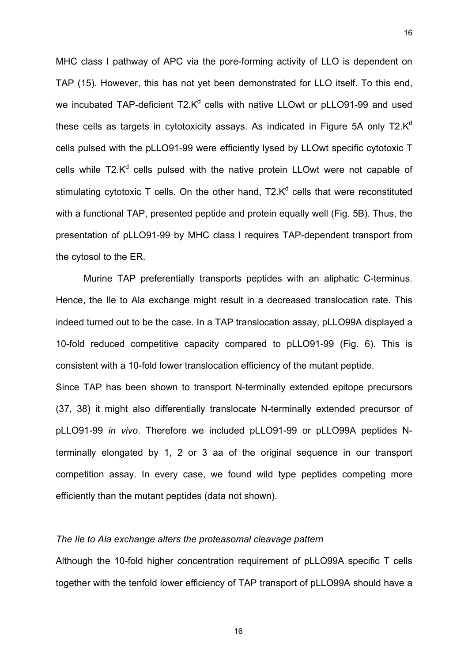MHC class I pathway of APC via the pore-forming activity of LLO is dependent on TAP (15). However, this has not yet been demonstrated for LLO itself. To this end, we incubated TAP-deficient T2. $K^d$  cells with native LLOwt or pLLO91-99 and used these cells as targets in cytotoxicity assays. As indicated in Figure 5A only  $T2.K<sup>d</sup>$ cells pulsed with the pLLO91-99 were efficiently lysed by LLOwt specific cytotoxic T cells while T2. $K^d$  cells pulsed with the native protein LLOwt were not capable of stimulating cytotoxic T cells. On the other hand,  $T2.K<sup>d</sup>$  cells that were reconstituted with a functional TAP, presented peptide and protein equally well (Fig. 5B). Thus, the presentation of pLLO91-99 by MHC class I requires TAP-dependent transport from the cytosol to the ER.

 Murine TAP preferentially transports peptides with an aliphatic C-terminus. Hence, the Ile to Ala exchange might result in a decreased translocation rate. This indeed turned out to be the case. In a TAP translocation assay, pLLO99A displayed a 10-fold reduced competitive capacity compared to pLLO91-99 (Fig. 6). This is consistent with a 10-fold lower translocation efficiency of the mutant peptide.

Since TAP has been shown to transport N-terminally extended epitope precursors (37, 38) it might also differentially translocate N-terminally extended precursor of pLLO91-99 *in vivo*. Therefore we included pLLO91-99 or pLLO99A peptides Nterminally elongated by 1, 2 or 3 aa of the original sequence in our transport competition assay. In every case, we found wild type peptides competing more efficiently than the mutant peptides (data not shown).

#### *The Ile to Ala exchange alters the proteasomal cleavage pattern*

Although the 10-fold higher concentration requirement of pLLO99A specific T cells together with the tenfold lower efficiency of TAP transport of pLLO99A should have a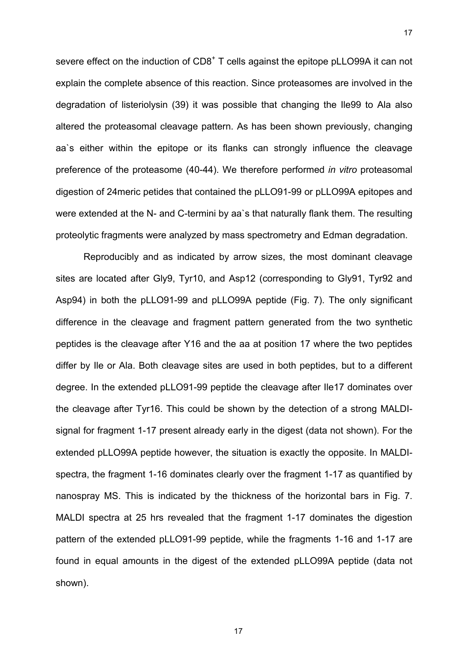severe effect on the induction of  $CDB<sup>+</sup>$  T cells against the epitope pLLO99A it can not explain the complete absence of this reaction. Since proteasomes are involved in the degradation of listeriolysin (39) it was possible that changing the Ile99 to Ala also altered the proteasomal cleavage pattern. As has been shown previously, changing aa`s either within the epitope or its flanks can strongly influence the cleavage preference of the proteasome (40-44). We therefore performed *in vitro* proteasomal digestion of 24meric petides that contained the pLLO91-99 or pLLO99A epitopes and were extended at the N- and C-termini by aa`s that naturally flank them. The resulting proteolytic fragments were analyzed by mass spectrometry and Edman degradation.

17

 Reproducibly and as indicated by arrow sizes, the most dominant cleavage sites are located after Gly9, Tyr10, and Asp12 (corresponding to Gly91, Tyr92 and Asp94) in both the pLLO91-99 and pLLO99A peptide (Fig. 7). The only significant difference in the cleavage and fragment pattern generated from the two synthetic peptides is the cleavage after Y16 and the aa at position 17 where the two peptides differ by Ile or Ala. Both cleavage sites are used in both peptides, but to a different degree. In the extended pLLO91-99 peptide the cleavage after Ile17 dominates over the cleavage after Tyr16. This could be shown by the detection of a strong MALDIsignal for fragment 1-17 present already early in the digest (data not shown). For the extended pLLO99A peptide however, the situation is exactly the opposite. In MALDIspectra, the fragment 1-16 dominates clearly over the fragment 1-17 as quantified by nanospray MS. This is indicated by the thickness of the horizontal bars in Fig. 7. MALDI spectra at 25 hrs revealed that the fragment 1-17 dominates the digestion pattern of the extended pLLO91-99 peptide, while the fragments 1-16 and 1-17 are found in equal amounts in the digest of the extended pLLO99A peptide (data not shown).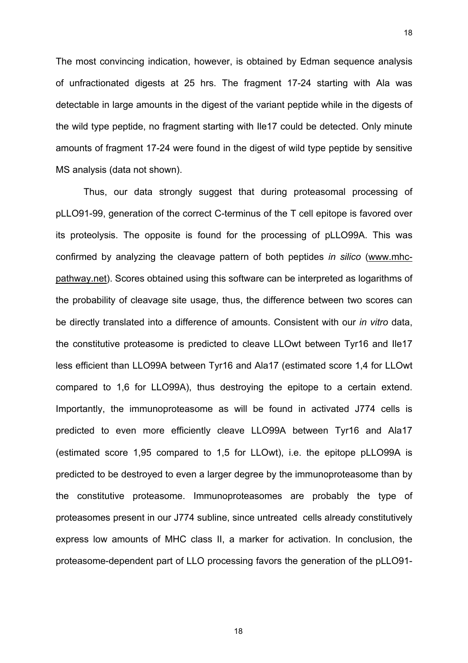The most convincing indication, however, is obtained by Edman sequence analysis of unfractionated digests at 25 hrs. The fragment 17-24 starting with Ala was detectable in large amounts in the digest of the variant peptide while in the digests of the wild type peptide, no fragment starting with Ile17 could be detected. Only minute amounts of fragment 17-24 were found in the digest of wild type peptide by sensitive MS analysis (data not shown).

 Thus, our data strongly suggest that during proteasomal processing of pLLO91-99, generation of the correct C-terminus of the T cell epitope is favored over its proteolysis. The opposite is found for the processing of pLLO99A. This was confirmed by analyzing the cleavage pattern of both peptides *in silico* (www.mhcpathway.net). Scores obtained using this software can be interpreted as logarithms of the probability of cleavage site usage, thus, the difference between two scores can be directly translated into a difference of amounts. Consistent with our *in vitro* data, the constitutive proteasome is predicted to cleave LLOwt between Tyr16 and Ile17 less efficient than LLO99A between Tyr16 and Ala17 (estimated score 1,4 for LLOwt compared to 1,6 for LLO99A), thus destroying the epitope to a certain extend. Importantly, the immunoproteasome as will be found in activated J774 cells is predicted to even more efficiently cleave LLO99A between Tyr16 and Ala17 (estimated score 1,95 compared to 1,5 for LLOwt), i.e. the epitope pLLO99A is predicted to be destroyed to even a larger degree by the immunoproteasome than by the constitutive proteasome. Immunoproteasomes are probably the type of proteasomes present in our J774 subline, since untreated cells already constitutively express low amounts of MHC class II, a marker for activation. In conclusion, the proteasome-dependent part of LLO processing favors the generation of the pLLO91-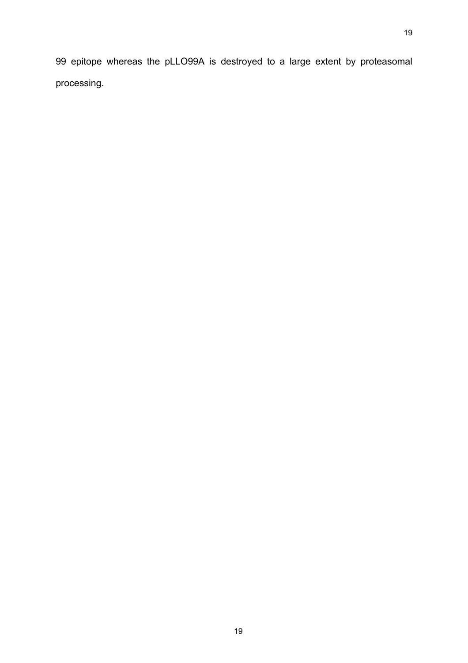99 epitope whereas the pLLO99A is destroyed to a large extent by proteasomal processing.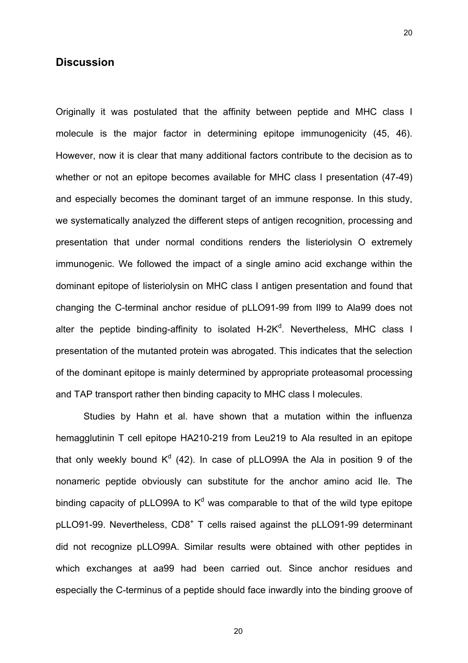# **Discussion**

Originally it was postulated that the affinity between peptide and MHC class I molecule is the major factor in determining epitope immunogenicity (45, 46). However, now it is clear that many additional factors contribute to the decision as to whether or not an epitope becomes available for MHC class I presentation (47-49) and especially becomes the dominant target of an immune response. In this study, we systematically analyzed the different steps of antigen recognition, processing and presentation that under normal conditions renders the listeriolysin O extremely immunogenic. We followed the impact of a single amino acid exchange within the dominant epitope of listeriolysin on MHC class I antigen presentation and found that changing the C-terminal anchor residue of pLLO91-99 from Il99 to Ala99 does not alter the peptide binding-affinity to isolated H-2K<sup>d</sup>. Nevertheless, MHC class I presentation of the mutanted protein was abrogated. This indicates that the selection of the dominant epitope is mainly determined by appropriate proteasomal processing and TAP transport rather then binding capacity to MHC class I molecules.

 Studies by Hahn et al. have shown that a mutation within the influenza hemagglutinin T cell epitope HA210-219 from Leu219 to Ala resulted in an epitope that only weekly bound  $K^d$  (42). In case of pLLO99A the Ala in position 9 of the nonameric peptide obviously can substitute for the anchor amino acid Ile. The binding capacity of pLLO99A to  $K^d$  was comparable to that of the wild type epitope pLLO91-99. Nevertheless, CD8<sup>+</sup> T cells raised against the pLLO91-99 determinant did not recognize pLLO99A. Similar results were obtained with other peptides in which exchanges at aa99 had been carried out. Since anchor residues and especially the C-terminus of a peptide should face inwardly into the binding groove of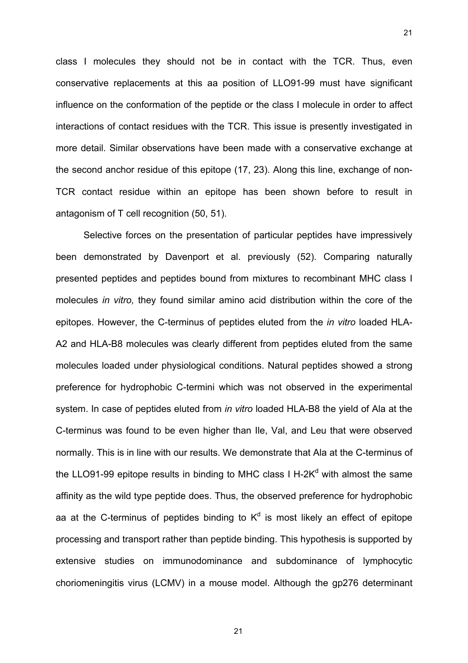class I molecules they should not be in contact with the TCR. Thus, even conservative replacements at this aa position of LLO91-99 must have significant influence on the conformation of the peptide or the class I molecule in order to affect interactions of contact residues with the TCR. This issue is presently investigated in more detail. Similar observations have been made with a conservative exchange at the second anchor residue of this epitope (17, 23). Along this line, exchange of non-TCR contact residue within an epitope has been shown before to result in antagonism of T cell recognition (50, 51).

21

 Selective forces on the presentation of particular peptides have impressively been demonstrated by Davenport et al. previously (52). Comparing naturally presented peptides and peptides bound from mixtures to recombinant MHC class I molecules *in vitro,* they found similar amino acid distribution within the core of the epitopes. However, the C-terminus of peptides eluted from the *in vitro* loaded HLA-A2 and HLA-B8 molecules was clearly different from peptides eluted from the same molecules loaded under physiological conditions. Natural peptides showed a strong preference for hydrophobic C-termini which was not observed in the experimental system. In case of peptides eluted from *in vitro* loaded HLA-B8 the yield of Ala at the C-terminus was found to be even higher than Ile, Val, and Leu that were observed normally. This is in line with our results. We demonstrate that Ala at the C-terminus of the LLO91-99 epitope results in binding to MHC class I H-2K<sup>d</sup> with almost the same affinity as the wild type peptide does. Thus, the observed preference for hydrophobic aa at the C-terminus of peptides binding to  $K^d$  is most likely an effect of epitope processing and transport rather than peptide binding. This hypothesis is supported by extensive studies on immunodominance and subdominance of lymphocytic choriomeningitis virus (LCMV) in a mouse model. Although the gp276 determinant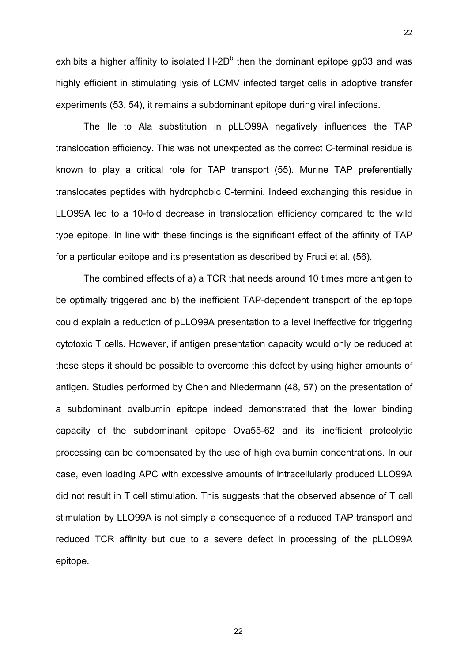exhibits a higher affinity to isolated H-2D $<sup>b</sup>$  then the dominant epitope gp33 and was</sup> highly efficient in stimulating lysis of LCMV infected target cells in adoptive transfer experiments (53, 54), it remains a subdominant epitope during viral infections.

22

 The Ile to Ala substitution in pLLO99A negatively influences the TAP translocation efficiency. This was not unexpected as the correct C-terminal residue is known to play a critical role for TAP transport (55). Murine TAP preferentially translocates peptides with hydrophobic C-termini. Indeed exchanging this residue in LLO99A led to a 10-fold decrease in translocation efficiency compared to the wild type epitope. In line with these findings is the significant effect of the affinity of TAP for a particular epitope and its presentation as described by Fruci et al. (56).

 The combined effects of a) a TCR that needs around 10 times more antigen to be optimally triggered and b) the inefficient TAP-dependent transport of the epitope could explain a reduction of pLLO99A presentation to a level ineffective for triggering cytotoxic T cells. However, if antigen presentation capacity would only be reduced at these steps it should be possible to overcome this defect by using higher amounts of antigen. Studies performed by Chen and Niedermann (48, 57) on the presentation of a subdominant ovalbumin epitope indeed demonstrated that the lower binding capacity of the subdominant epitope Ova55-62 and its inefficient proteolytic processing can be compensated by the use of high ovalbumin concentrations. In our case, even loading APC with excessive amounts of intracellularly produced LLO99A did not result in T cell stimulation. This suggests that the observed absence of T cell stimulation by LLO99A is not simply a consequence of a reduced TAP transport and reduced TCR affinity but due to a severe defect in processing of the pLLO99A epitope.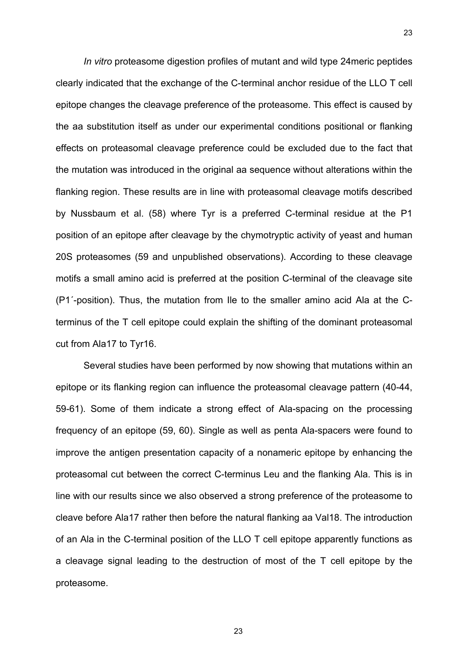*In vitro* proteasome digestion profiles of mutant and wild type 24meric peptides clearly indicated that the exchange of the C-terminal anchor residue of the LLO T cell epitope changes the cleavage preference of the proteasome. This effect is caused by the aa substitution itself as under our experimental conditions positional or flanking effects on proteasomal cleavage preference could be excluded due to the fact that the mutation was introduced in the original aa sequence without alterations within the flanking region. These results are in line with proteasomal cleavage motifs described by Nussbaum et al. (58) where Tyr is a preferred C-terminal residue at the P1 position of an epitope after cleavage by the chymotryptic activity of yeast and human 20S proteasomes (59 and unpublished observations). According to these cleavage motifs a small amino acid is preferred at the position C-terminal of the cleavage site (P1´-position). Thus, the mutation from Ile to the smaller amino acid Ala at the Cterminus of the T cell epitope could explain the shifting of the dominant proteasomal cut from Ala17 to Tyr16.

 Several studies have been performed by now showing that mutations within an epitope or its flanking region can influence the proteasomal cleavage pattern (40-44, 59-61). Some of them indicate a strong effect of Ala-spacing on the processing frequency of an epitope (59, 60). Single as well as penta Ala-spacers were found to improve the antigen presentation capacity of a nonameric epitope by enhancing the proteasomal cut between the correct C-terminus Leu and the flanking Ala. This is in line with our results since we also observed a strong preference of the proteasome to cleave before Ala17 rather then before the natural flanking aa Val18. The introduction of an Ala in the C-terminal position of the LLO T cell epitope apparently functions as a cleavage signal leading to the destruction of most of the T cell epitope by the proteasome.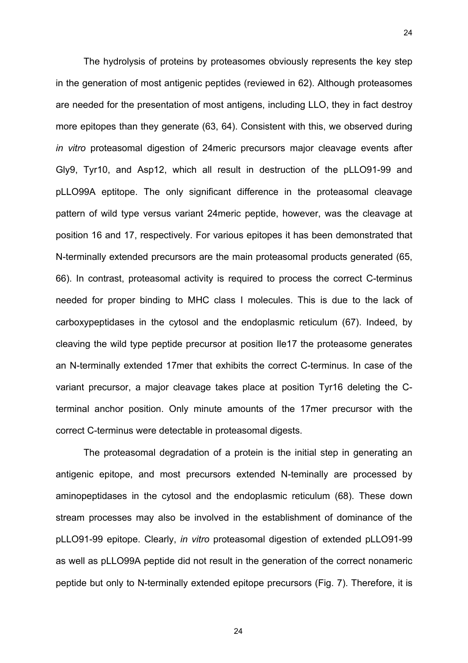The hydrolysis of proteins by proteasomes obviously represents the key step in the generation of most antigenic peptides (reviewed in 62). Although proteasomes are needed for the presentation of most antigens, including LLO, they in fact destroy more epitopes than they generate (63, 64). Consistent with this, we observed during *in vitro* proteasomal digestion of 24meric precursors major cleavage events after Gly9, Tyr10, and Asp12, which all result in destruction of the pLLO91-99 and pLLO99A eptitope. The only significant difference in the proteasomal cleavage pattern of wild type versus variant 24meric peptide, however, was the cleavage at position 16 and 17, respectively. For various epitopes it has been demonstrated that N-terminally extended precursors are the main proteasomal products generated (65, 66). In contrast, proteasomal activity is required to process the correct C-terminus needed for proper binding to MHC class I molecules. This is due to the lack of carboxypeptidases in the cytosol and the endoplasmic reticulum (67). Indeed, by cleaving the wild type peptide precursor at position Ile17 the proteasome generates an N-terminally extended 17mer that exhibits the correct C-terminus. In case of the variant precursor, a major cleavage takes place at position Tyr16 deleting the Cterminal anchor position. Only minute amounts of the 17mer precursor with the correct C-terminus were detectable in proteasomal digests.

24

 The proteasomal degradation of a protein is the initial step in generating an antigenic epitope, and most precursors extended N-teminally are processed by aminopeptidases in the cytosol and the endoplasmic reticulum (68). These down stream processes may also be involved in the establishment of dominance of the pLLO91-99 epitope. Clearly, *in vitro* proteasomal digestion of extended pLLO91-99 as well as pLLO99A peptide did not result in the generation of the correct nonameric peptide but only to N-terminally extended epitope precursors (Fig. 7). Therefore, it is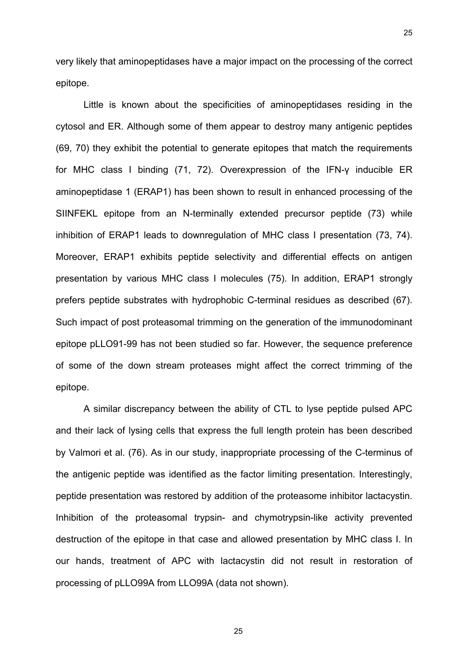very likely that aminopeptidases have a major impact on the processing of the correct epitope.

 Little is known about the specificities of aminopeptidases residing in the cytosol and ER. Although some of them appear to destroy many antigenic peptides (69, 70) they exhibit the potential to generate epitopes that match the requirements for MHC class I binding (71, 72). Overexpression of the IFN-γ inducible ER aminopeptidase 1 (ERAP1) has been shown to result in enhanced processing of the SIINFEKL epitope from an N-terminally extended precursor peptide (73) while inhibition of ERAP1 leads to downregulation of MHC class I presentation (73, 74). Moreover, ERAP1 exhibits peptide selectivity and differential effects on antigen presentation by various MHC class I molecules (75). In addition, ERAP1 strongly prefers peptide substrates with hydrophobic C-terminal residues as described (67). Such impact of post proteasomal trimming on the generation of the immunodominant epitope pLLO91-99 has not been studied so far. However, the sequence preference of some of the down stream proteases might affect the correct trimming of the epitope.

 A similar discrepancy between the ability of CTL to lyse peptide pulsed APC and their lack of lysing cells that express the full length protein has been described by Valmori et al. (76). As in our study, inappropriate processing of the C-terminus of the antigenic peptide was identified as the factor limiting presentation. Interestingly, peptide presentation was restored by addition of the proteasome inhibitor lactacystin. Inhibition of the proteasomal trypsin- and chymotrypsin-like activity prevented destruction of the epitope in that case and allowed presentation by MHC class I. In our hands, treatment of APC with lactacystin did not result in restoration of processing of pLLO99A from LLO99A (data not shown).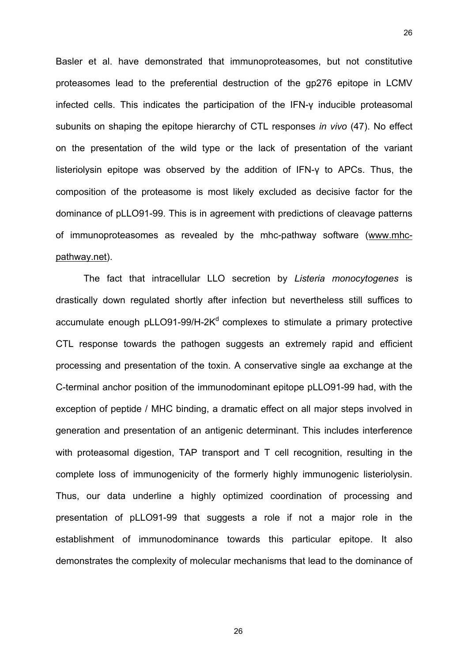Basler et al. have demonstrated that immunoproteasomes, but not constitutive proteasomes lead to the preferential destruction of the gp276 epitope in LCMV infected cells. This indicates the participation of the IFN-γ inducible proteasomal subunits on shaping the epitope hierarchy of CTL responses *in vivo* (47). No effect on the presentation of the wild type or the lack of presentation of the variant listeriolysin epitope was observed by the addition of IFN-γ to APCs. Thus, the composition of the proteasome is most likely excluded as decisive factor for the dominance of pLLO91-99. This is in agreement with predictions of cleavage patterns of immunoproteasomes as revealed by the mhc-pathway software (www.mhcpathway.net).

 The fact that intracellular LLO secretion by *Listeria monocytogenes* is drastically down regulated shortly after infection but nevertheless still suffices to accumulate enough pLLO91-99/H-2 $K<sup>d</sup>$  complexes to stimulate a primary protective CTL response towards the pathogen suggests an extremely rapid and efficient processing and presentation of the toxin. A conservative single aa exchange at the C-terminal anchor position of the immunodominant epitope pLLO91-99 had, with the exception of peptide / MHC binding, a dramatic effect on all major steps involved in generation and presentation of an antigenic determinant. This includes interference with proteasomal digestion, TAP transport and T cell recognition, resulting in the complete loss of immunogenicity of the formerly highly immunogenic listeriolysin. Thus, our data underline a highly optimized coordination of processing and presentation of pLLO91-99 that suggests a role if not a major role in the establishment of immunodominance towards this particular epitope. It also demonstrates the complexity of molecular mechanisms that lead to the dominance of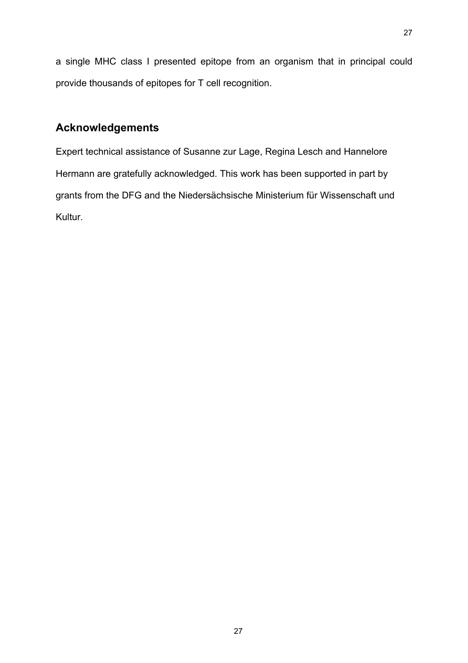a single MHC class I presented epitope from an organism that in principal could provide thousands of epitopes for T cell recognition.

# **Acknowledgements**

Expert technical assistance of Susanne zur Lage, Regina Lesch and Hannelore Hermann are gratefully acknowledged. This work has been supported in part by grants from the DFG and the Niedersächsische Ministerium für Wissenschaft und Kultur.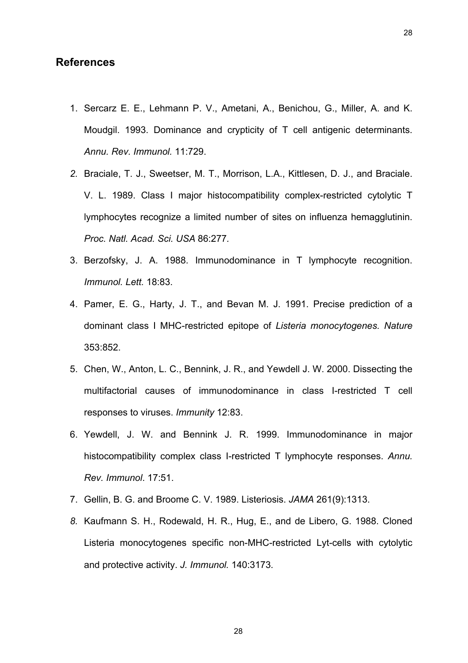# **References**

- 1. Sercarz E. E., Lehmann P. V., Ametani, A., Benichou, G., Miller, A. and K. Moudgil. 1993. Dominance and crypticity of T cell antigenic determinants. *Annu. Rev. Immunol.* 11:729.
- *2.* Braciale, T. J., Sweetser, M. T., Morrison, L.A., Kittlesen, D. J., and Braciale. V. L. 1989. Class I major histocompatibility complex-restricted cytolytic T lymphocytes recognize a limited number of sites on influenza hemagglutinin. *Proc. Natl. Acad. Sci. USA* 86:277*.*
- 3. Berzofsky, J. A. 1988. Immunodominance in T lymphocyte recognition. *Immunol. Lett.* 18:83.
- 4. Pamer, E. G., Harty, J. T., and Bevan M. J. 1991. Precise prediction of a dominant class I MHC-restricted epitope of *Listeria monocytogenes. Nature* 353:852.
- 5. Chen, W., Anton, L. C., Bennink, J. R., and Yewdell J. W. 2000. Dissecting the multifactorial causes of immunodominance in class I-restricted T cell responses to viruses. *Immunity* 12:83.
- 6. Yewdell, J. W. and Bennink J. R. 1999. Immunodominance in major histocompatibility complex class I-restricted T lymphocyte responses. *Annu. Rev. Immunol*. 17:51.
- 7. Gellin, B. G. and Broome C. V. 1989. Listeriosis. *JAMA* 261(9):1313.
- *8.* Kaufmann S. H., Rodewald, H. R., Hug, E., and de Libero, G. 1988. Cloned Listeria monocytogenes specific non-MHC-restricted Lyt-cells with cytolytic and protective activity. *J. Immunol.* 140:3173*.*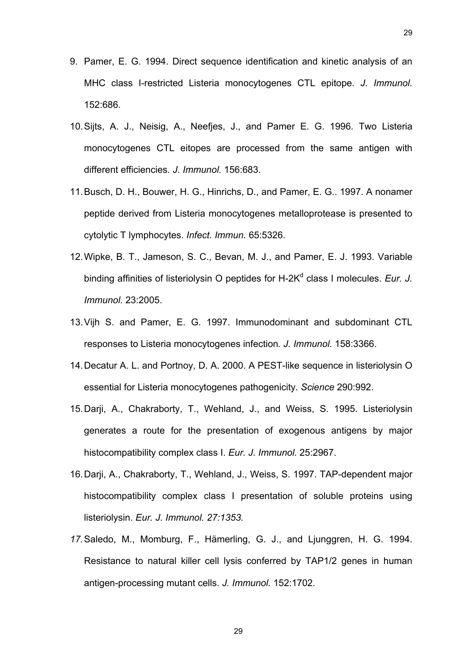- 9. Pamer, E. G. 1994. Direct sequence identification and kinetic analysis of an MHC class I-restricted Listeria monocytogenes CTL epitope*. J. Immunol.*  152:686.
- 10. Sijts, A. J., Neisig, A., Neefjes, J., and Pamer E. G. 1996. Two Listeria monocytogenes CTL eitopes are processed from the same antigen with different efficiencies*. J. Immunol.* 156:683.
- 11. Busch, D. H., Bouwer, H. G., Hinrichs, D., and Pamer, E. G.. 1997. A nonamer peptide derived from Listeria monocytogenes metalloprotease is presented to cytolytic T lymphocytes. *Infect. Immun.* 65:5326.
- 12. Wipke, B. T., Jameson, S. C., Bevan, M. J., and Pamer, E. J. 1993. Variable binding affinities of listeriolysin O peptides for H-2K<sup>d</sup> class I molecules. Eur. J. *Immunol.* 23:2005.
- 13. Vijh S. and Pamer, E. G. 1997. Immunodominant and subdominant CTL responses to Listeria monocytogenes infection*. J. Immunol.* 158:3366.
- 14. Decatur A. L. and Portnoy, D. A. 2000. A PEST-like sequence in listeriolysin O essential for Listeria monocytogenes pathogenicity. *Science* 290:992.
- 15. Darji, A., Chakraborty, T., Wehland, J., and Weiss, S. 1995. Listeriolysin generates a route for the presentation of exogenous antigens by major histocompatibility complex class I. *Eur. J. Immunol.* 25:2967.
- 16. Darji, A., Chakraborty, T., Wehland, J., Weiss, S. 1997. TAP-dependent major histocompatibility complex class I presentation of soluble proteins using listeriolysin. *Eur. J. Immunol. 27:1353.*
- *17.* Saledo, M., Momburg, F., Hämerling, G. J., and Ljunggren, H. G. 1994. Resistance to natural killer cell lysis conferred by TAP1/2 genes in human antigen-processing mutant cells. *J. Immunol.* 152:1702*.*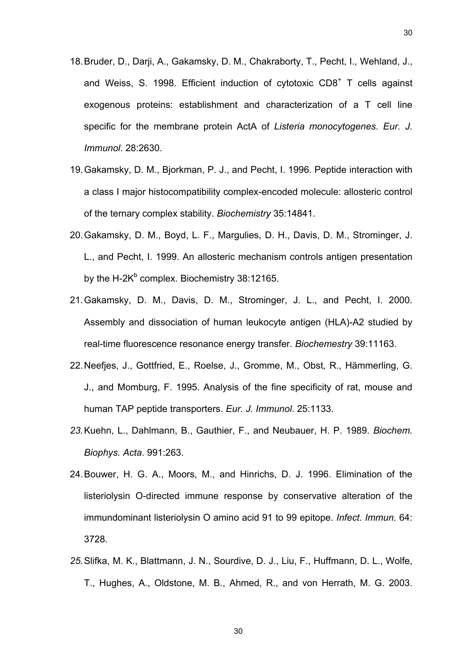- 18. Bruder, D., Darji, A., Gakamsky, D. M., Chakraborty, T., Pecht, I., Wehland, J., and Weiss, S. 1998. Efficient induction of cytotoxic CD8<sup>+</sup> T cells against exogenous proteins: establishment and characterization of a T cell line specific for the membrane protein ActA of *Listeria monocytogenes*. *Eur. J. Immunol*. 28:2630.
- 19. Gakamsky, D. M., Bjorkman, P. J., and Pecht, I. 1996. Peptide interaction with a class I major histocompatibility complex-encoded molecule: allosteric control of the ternary complex stability. *Biochemistry* 35:14841.
- 20. Gakamsky, D. M., Boyd, L. F., Margulies, D. H., Davis, D. M., Strominger, J. L., and Pecht, I. 1999. An allosteric mechanism controls antigen presentation by the H-2K $^{\text{b}}$  complex. Biochemistry 38:12165.
- 21. Gakamsky, D. M., Davis, D. M., Strominger, J. L., and Pecht, I. 2000. Assembly and dissociation of human leukocyte antigen (HLA)-A2 studied by real-time fluorescence resonance energy transfer. *Biochemestry* 39:11163.
- 22. Neefjes, J., Gottfried, E., Roelse, J., Gromme, M., Obst, R., Hämmerling, G. J., and Momburg, F. 1995. Analysis of the fine specificity of rat, mouse and human TAP peptide transporters. *Eur. J. Immunol*. 25:1133.
- *23.* Kuehn, L., Dahlmann, B., Gauthier, F., and Neubauer, H. P. 1989. *Biochem. Biophys. Acta*. 991:263.
- 24. Bouwer, H. G. A., Moors, M., and Hinrichs, D. J. 1996. Elimination of the listeriolysin O-directed immune response by conservative alteration of the immundominant listeriolysin O amino acid 91 to 99 epitope. *Infect. Immun.* 64: 3728.
- *25.* Slifka, M. K., Blattmann, J. N., Sourdive, D. J., Liu, F., Huffmann, D. L., Wolfe, T., Hughes, A., Oldstone, M. B., Ahmed, R., and von Herrath, M. G. 2003.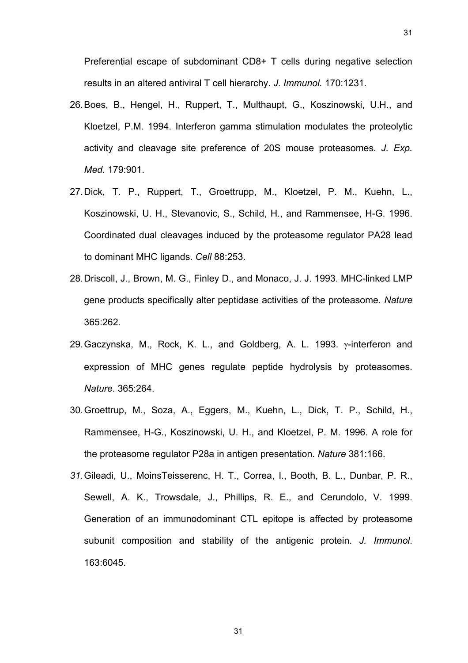- 26. Boes, B., Hengel, H., Ruppert, T., Multhaupt, G., Koszinowski, U.H., and Kloetzel, P.M. 1994. Interferon gamma stimulation modulates the proteolytic activity and cleavage site preference of 20S mouse proteasomes. *J. Exp. Med.* 179:901.
- 27. Dick, T. P., Ruppert, T., Groettrupp, M., Kloetzel, P. M., Kuehn, L., Koszinowski, U. H., Stevanovic, S., Schild, H., and Rammensee, H-G. 1996. Coordinated dual cleavages induced by the proteasome regulator PA28 lead to dominant MHC ligands. *Cell* 88:253.
- 28. Driscoll, J., Brown, M. G., Finley D., and Monaco, J. J. 1993. MHC-linked LMP gene products specifically alter peptidase activities of the proteasome. *Nature* 365:262.
- 29. Gaczynska, M., Rock, K. L., and Goldberg, A. L. 1993. γ-interferon and expression of MHC genes regulate peptide hydrolysis by proteasomes. *Nature*. 365:264.
- 30. Groettrup, M., Soza, A., Eggers, M., Kuehn, L., Dick, T. P., Schild, H., Rammensee, H-G., Koszinowski, U. H., and Kloetzel, P. M. 1996. A role for the proteasome regulator P28a in antigen presentation. *Nature* 381:166.
- *31.* Gileadi, U., MoinsTeisserenc, H. T., Correa, I., Booth, B. L., Dunbar, P. R., Sewell, A. K., Trowsdale, J., Phillips, R. E., and Cerundolo, V. 1999. Generation of an immunodominant CTL epitope is affected by proteasome subunit composition and stability of the antigenic protein. *J. Immunol*. 163:6045.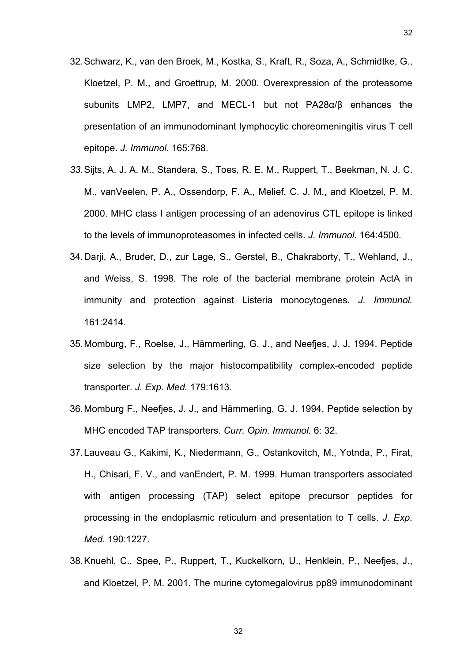- 32. Schwarz, K., van den Broek, M., Kostka, S., Kraft, R., Soza, A., Schmidtke, G., Kloetzel, P. M., and Groettrup, M. 2000. Overexpression of the proteasome subunits LMP2, LMP7, and MECL-1 but not PA28α/β enhances the presentation of an immunodominant lymphocytic choreomeningitis virus T cell epitope. *J. Immunol*. 165:768.
- *33.* Sijts, A. J. A. M., Standera, S., Toes, R. E. M., Ruppert, T., Beekman, N. J. C. M., vanVeelen, P. A., Ossendorp, F. A., Melief, C. J. M., and Kloetzel, P. M. 2000. MHC class I antigen processing of an adenovirus CTL epitope is linked to the levels of immunoproteasomes in infected cells. *J. Immunol.* 164:4500*.*
- 34. Darji, A., Bruder, D., zur Lage, S., Gerstel, B., Chakraborty, T., Wehland, J., and Weiss, S. 1998. The role of the bacterial membrane protein ActA in immunity and protection against Listeria monocytogenes. *J. Immunol.*  161:2414.
- 35. Momburg, F., Roelse, J., Hämmerling, G. J., and Neefjes, J. J. 1994. Peptide size selection by the major histocompatibility complex-encoded peptide transporter. *J. Exp. Med.* 179:1613.
- 36. Momburg F., Neefjes, J. J., and Hämmerling, G. J. 1994. Peptide selection by MHC encoded TAP transporters. *Curr. Opin. Immunol.* 6: 32.
- 37. Lauveau G., Kakimi, K., Niedermann, G., Ostankovitch, M., Yotnda, P., Firat, H., Chisari, F. V., and vanEndert, P. M. 1999. Human transporters associated with antigen processing (TAP) select epitope precursor peptides for processing in the endoplasmic reticulum and presentation to T cells. *J. Exp. Med.* 190:1227.
- 38. Knuehl, C., Spee, P., Ruppert, T., Kuckelkorn, U., Henklein, P., Neefjes, J., and Kloetzel, P. M. 2001. The murine cytomegalovirus pp89 immunodominant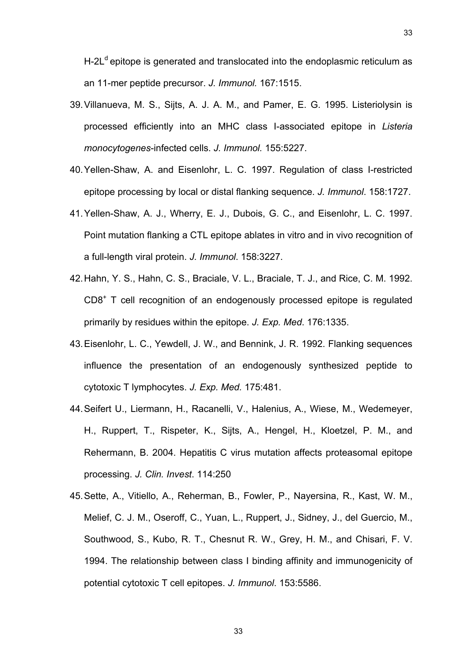$H-2L<sup>d</sup>$  epitope is generated and translocated into the endoplasmic reticulum as an 11-mer peptide precursor. *J. Immunol.* 167:1515.

- 39. Villanueva, M. S., Sijts, A. J. A. M., and Pamer, E. G. 1995. Listeriolysin is processed efficiently into an MHC class I-associated epitope in *Listeria monocytogenes*-infected cells. *J. Immunol.* 155:5227.
- 40. Yellen-Shaw, A. and Eisenlohr, L. C. 1997. Regulation of class I-restricted epitope processing by local or distal flanking sequence. *J. Immunol*. 158:1727.
- 41. Yellen-Shaw, A. J., Wherry, E. J., Dubois, G. C., and Eisenlohr, L. C. 1997. Point mutation flanking a CTL epitope ablates in vitro and in vivo recognition of a full-length viral protein. *J. Immunol*. 158:3227.
- 42. Hahn, Y. S., Hahn, C. S., Braciale, V. L., Braciale, T. J., and Rice, C. M. 1992. CD8+ T cell recognition of an endogenously processed epitope is regulated primarily by residues within the epitope. *J. Exp. Med*. 176:1335.
- 43. Eisenlohr, L. C., Yewdell, J. W., and Bennink, J. R. 1992. Flanking sequences influence the presentation of an endogenously synthesized peptide to cytotoxic T lymphocytes. *J. Exp. Med.* 175:481.
- 44. Seifert U., Liermann, H., Racanelli, V., Halenius, A., Wiese, M., Wedemeyer, H., Ruppert, T., Rispeter, K., Sijts, A., Hengel, H., Kloetzel, P. M., and Rehermann, B. 2004. Hepatitis C virus mutation affects proteasomal epitope processing. *J. Clin. Invest*. 114:250
- 45. Sette, A., Vitiello, A., Reherman, B., Fowler, P., Nayersina, R., Kast, W. M., Melief, C. J. M., Oseroff, C., Yuan, L., Ruppert, J., Sidney, J., del Guercio, M., Southwood, S., Kubo, R. T., Chesnut R. W., Grey, H. M., and Chisari, F. V. 1994. The relationship between class I binding affinity and immunogenicity of potential cytotoxic T cell epitopes. *J. Immunol*. 153:5586.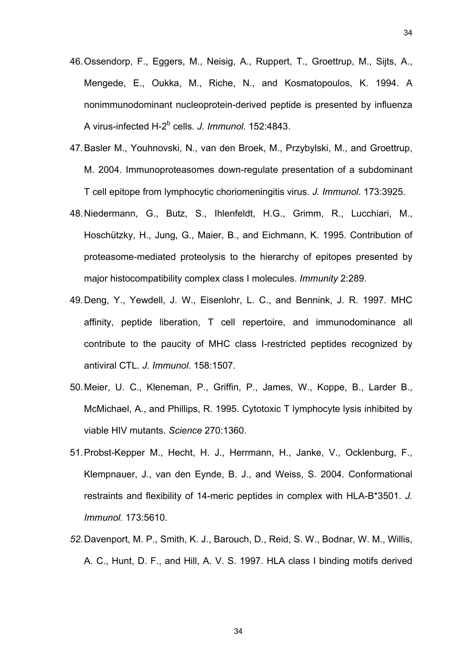- 46. Ossendorp, F., Eggers, M., Neisig, A., Ruppert, T., Groettrup, M., Sijts, A., Mengede, E., Oukka, M., Riche, N., and Kosmatopoulos, K. 1994. A nonimmunodominant nucleoprotein-derived peptide is presented by influenza A virus-infected H-2<sup>b</sup> cells*. J. Immunol*. 152:4843.
- 47. Basler M., Youhnovski, N., van den Broek, M., Przybylski, M., and Groettrup, M. 2004. Immunoproteasomes down-regulate presentation of a subdominant T cell epitope from lymphocytic choriomeningitis virus. *J. Immunol*. 173:3925*.*
- 48. Niedermann, G., Butz, S., Ihlenfeldt, H.G., Grimm, R., Lucchiari, M., Hoschützky, H., Jung, G., Maier, B., and Eichmann, K. 1995. Contribution of proteasome-mediated proteolysis to the hierarchy of epitopes presented by major histocompatibility complex class I molecules. *Immunity* 2:289.
- 49. Deng, Y., Yewdell, J. W., Eisenlohr, L. C., and Bennink, J. R. 1997. MHC affinity, peptide liberation, T cell repertoire, and immunodominance all contribute to the paucity of MHC class I-restricted peptides recognized by antiviral CTL. *J. Immunol*. 158:1507.
- 50. Meier, U. C., Kleneman, P., Griffin, P., James, W., Koppe, B., Larder B., McMichael, A., and Phillips, R. 1995. Cytotoxic T lymphocyte lysis inhibited by viable HIV mutants. *Science* 270:1360.
- 51. Probst-Kepper M., Hecht, H. J., Herrmann, H., Janke, V., Ocklenburg, F., Klempnauer, J., van den Eynde, B. J., and Weiss, S. 2004. Conformational restraints and flexibility of 14-meric peptides in complex with HLA-B\*3501. *J. Immunol.* 173:5610.
- *52.* Davenport, M. P., Smith, K. J., Barouch, D., Reid, S. W., Bodnar, W. M., Willis, A. C., Hunt, D. F., and Hill, A. V. S. 1997. HLA class I binding motifs derived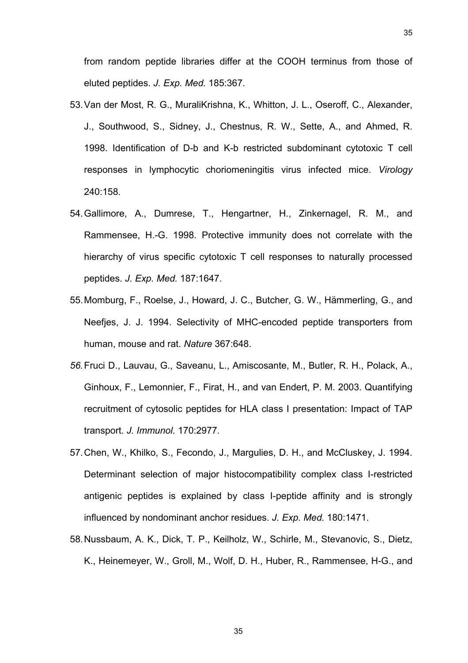from random peptide libraries differ at the COOH terminus from those of eluted peptides. *J. Exp. Med.* 185:367.

- 53. Van der Most, R. G., MuraliKrishna, K., Whitton, J. L., Oseroff, C., Alexander, J., Southwood, S., Sidney, J., Chestnus, R. W., Sette, A., and Ahmed, R. 1998. Identification of D-b and K-b restricted subdominant cytotoxic T cell responses in lymphocytic choriomeningitis virus infected mice. *Virology*  240:158.
- 54. Gallimore, A., Dumrese, T., Hengartner, H., Zinkernagel, R. M., and Rammensee, H.-G. 1998. Protective immunity does not correlate with the hierarchy of virus specific cytotoxic T cell responses to naturally processed peptides. *J. Exp. Med.* 187:1647.
- 55. Momburg, F., Roelse, J., Howard, J. C., Butcher, G. W., Hämmerling, G., and Neefjes, J. J. 1994. Selectivity of MHC-encoded peptide transporters from human, mouse and rat. *Nature* 367:648.
- *56.* Fruci D., Lauvau, G., Saveanu, L., Amiscosante, M., Butler, R. H., Polack, A., Ginhoux, F., Lemonnier, F., Firat, H., and van Endert, P. M. 2003. Quantifying recruitment of cytosolic peptides for HLA class I presentation: Impact of TAP transport. *J. Immunol.* 170:2977*.*
- 57. Chen, W., Khilko, S., Fecondo, J., Margulies, D. H., and McCluskey, J. 1994. Determinant selection of major histocompatibility complex class I-restricted antigenic peptides is explained by class I-peptide affinity and is strongly influenced by nondominant anchor residues. *J. Exp. Med.* 180:1471.
- 58. Nussbaum, A. K., Dick, T. P., Keilholz, W., Schirle, M., Stevanovic, S., Dietz, K., Heinemeyer, W., Groll, M., Wolf, D. H., Huber, R., Rammensee, H-G., and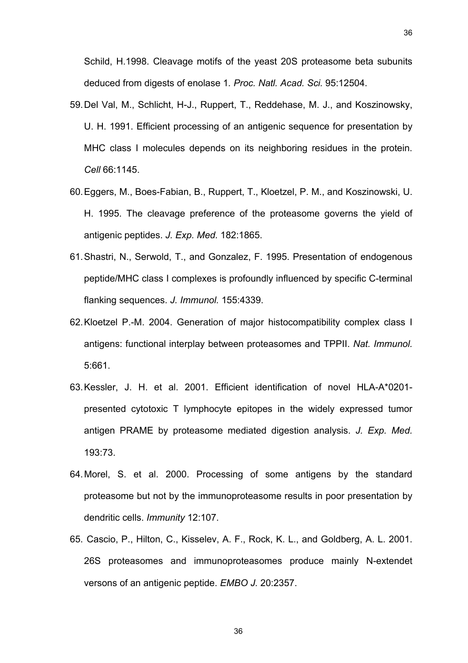Schild, H.1998. Cleavage motifs of the yeast 20S proteasome beta subunits deduced from digests of enolase 1*. Proc. Natl. Acad. Sci.* 95:12504.

- 59. Del Val, M., Schlicht, H-J., Ruppert, T., Reddehase, M. J., and Koszinowsky, U. H. 1991. Efficient processing of an antigenic sequence for presentation by MHC class I molecules depends on its neighboring residues in the protein. *Cell* 66:1145.
- 60. Eggers, M., Boes-Fabian, B., Ruppert, T., Kloetzel, P. M., and Koszinowski, U. H. 1995. The cleavage preference of the proteasome governs the yield of antigenic peptides. *J. Exp. Med.* 182:1865.
- 61. Shastri, N., Serwold, T., and Gonzalez, F. 1995. Presentation of endogenous peptide/MHC class I complexes is profoundly influenced by specific C-terminal flanking sequences. *J. Immunol.* 155:4339.
- 62. Kloetzel P.-M. 2004. Generation of major histocompatibility complex class I antigens: functional interplay between proteasomes and TPPII. *Nat. Immunol.*  5:661.
- 63. Kessler, J. H. et al. 2001. Efficient identification of novel HLA-A\*0201 presented cytotoxic T lymphocyte epitopes in the widely expressed tumor antigen PRAME by proteasome mediated digestion analysis. *J. Exp. Med.*  193:73.
- 64. Morel, S. et al. 2000. Processing of some antigens by the standard proteasome but not by the immunoproteasome results in poor presentation by dendritic cells. *Immunity* 12:107.
- 65. Cascio, P., Hilton, C., Kisselev, A. F., Rock, K. L., and Goldberg, A. L. 2001. 26S proteasomes and immunoproteasomes produce mainly N-extendet versons of an antigenic peptide. *EMBO J.* 20:2357.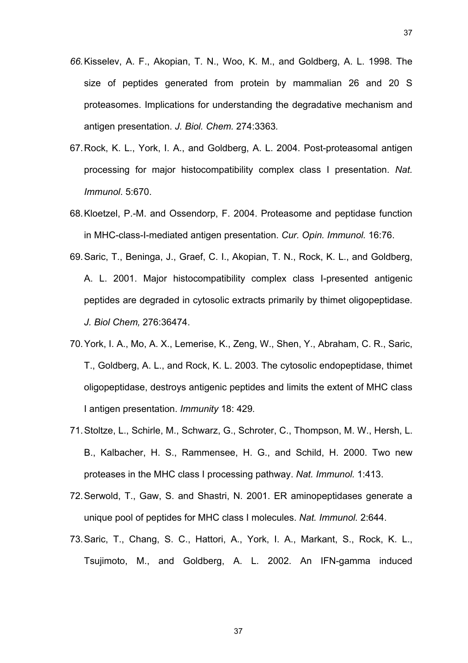- *66.* Kisselev, A. F., Akopian, T. N., Woo, K. M., and Goldberg, A. L. 1998. The size of peptides generated from protein by mammalian 26 and 20 S proteasomes. Implications for understanding the degradative mechanism and antigen presentation. *J. Biol. Chem.* 274:3363*.*
- 67. Rock, K. L., York, I. A., and Goldberg, A. L. 2004. Post-proteasomal antigen processing for major histocompatibility complex class I presentation. *Nat. Immunol*. 5:670.
- 68. Kloetzel, P.-M. and Ossendorp, F. 2004. Proteasome and peptidase function in MHC-class-I-mediated antigen presentation. *Cur. Opin. Immunol.* 16:76.
- 69. Saric, T., Beninga, J., Graef, C. I., Akopian, T. N., Rock, K. L., and Goldberg, A. L. 2001. Major histocompatibility complex class I-presented antigenic peptides are degraded in cytosolic extracts primarily by thimet oligopeptidase. *J. Biol Chem,* 276:36474.
- 70. York, I. A., Mo, A. X., Lemerise, K., Zeng, W., Shen, Y., Abraham, C. R., Saric, T., Goldberg, A. L., and Rock, K. L. 2003. The cytosolic endopeptidase, thimet oligopeptidase, destroys antigenic peptides and limits the extent of MHC class I antigen presentation. *Immunity* 18: 429*.*
- 71. Stoltze, L., Schirle, M., Schwarz, G., Schroter, C., Thompson, M. W., Hersh, L. B., Kalbacher, H. S., Rammensee, H. G., and Schild, H. 2000. Two new proteases in the MHC class I processing pathway. *Nat. Immunol.* 1:413.
- 72. Serwold, T., Gaw, S. and Shastri, N. 2001. ER aminopeptidases generate a unique pool of peptides for MHC class I molecules. *Nat. Immunol.* 2:644.
- 73. Saric, T., Chang, S. C., Hattori, A., York, I. A., Markant, S., Rock, K. L., Tsujimoto, M., and Goldberg, A. L. 2002. An IFN-gamma induced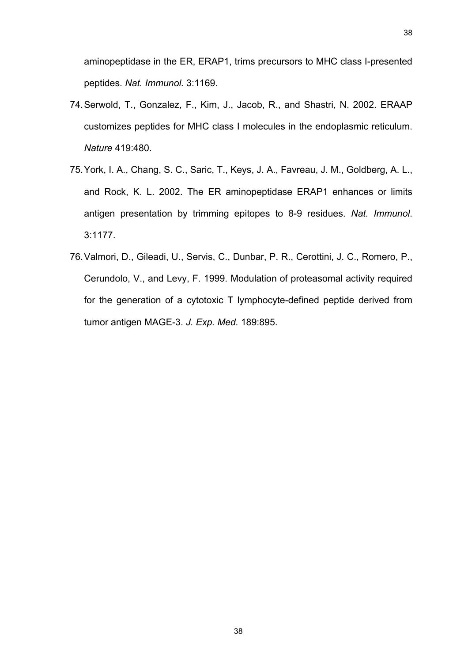aminopeptidase in the ER, ERAP1, trims precursors to MHC class I-presented peptides. *Nat. Immunol.* 3:1169.

- 74. Serwold, T., Gonzalez, F., Kim, J., Jacob, R., and Shastri, N. 2002. ERAAP customizes peptides for MHC class I molecules in the endoplasmic reticulum. *Nature* 419:480.
- 75. York, I. A., Chang, S. C., Saric, T., Keys, J. A., Favreau, J. M., Goldberg, A. L., and Rock, K. L. 2002. The ER aminopeptidase ERAP1 enhances or limits antigen presentation by trimming epitopes to 8-9 residues. *Nat. Immunol*. 3:1177.
- 76. Valmori, D., Gileadi, U., Servis, C., Dunbar, P. R., Cerottini, J. C., Romero, P., Cerundolo, V., and Levy, F. 1999. Modulation of proteasomal activity required for the generation of a cytotoxic T lymphocyte-defined peptide derived from tumor antigen MAGE-3. *J. Exp. Med.* 189:895.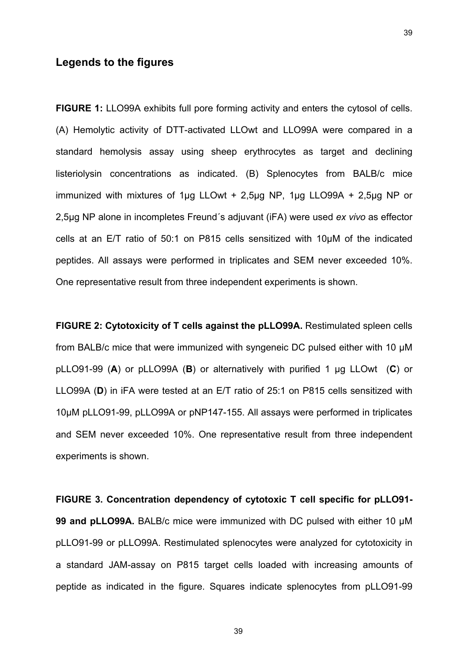# **Legends to the figures**

**FIGURE 1:** LLO99A exhibits full pore forming activity and enters the cytosol of cells. (A) Hemolytic activity of DTT-activated LLOwt and LLO99A were compared in a standard hemolysis assay using sheep erythrocytes as target and declining listeriolysin concentrations as indicated. (B) Splenocytes from BALB/c mice immunized with mixtures of 1µg LLOwt + 2,5µg NP, 1µg LLO99A + 2,5µg NP or 2,5µg NP alone in incompletes Freund´s adjuvant (iFA) were used *ex vivo* as effector cells at an E/T ratio of 50:1 on P815 cells sensitized with 10µM of the indicated peptides. All assays were performed in triplicates and SEM never exceeded 10%. One representative result from three independent experiments is shown.

**FIGURE 2: Cytotoxicity of T cells against the pLLO99A.** Restimulated spleen cells from BALB/c mice that were immunized with syngeneic DC pulsed either with 10 µM pLLO91-99 (**A**) or pLLO99A (**B**) or alternatively with purified 1 µg LLOwt (**C**) or LLO99A (**D**) in iFA were tested at an E/T ratio of 25:1 on P815 cells sensitized with 10µM pLLO91-99, pLLO99A or pNP147-155. All assays were performed in triplicates and SEM never exceeded 10%. One representative result from three independent experiments is shown.

**FIGURE 3. Concentration dependency of cytotoxic T cell specific for pLLO91- 99 and pLLO99A.** BALB/c mice were immunized with DC pulsed with either 10 µM pLLO91-99 or pLLO99A. Restimulated splenocytes were analyzed for cytotoxicity in a standard JAM-assay on P815 target cells loaded with increasing amounts of peptide as indicated in the figure. Squares indicate splenocytes from pLLO91-99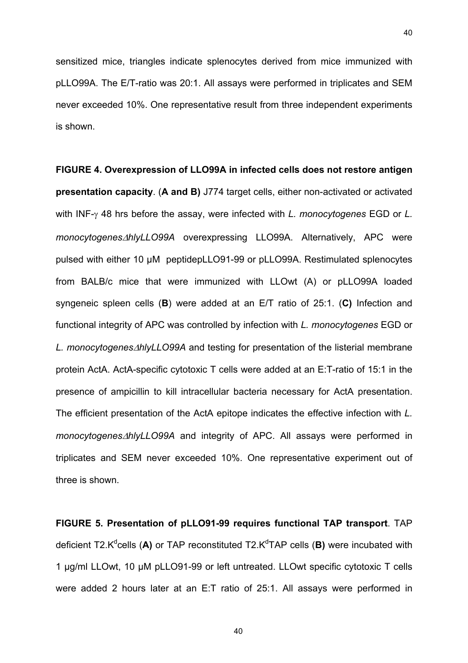sensitized mice, triangles indicate splenocytes derived from mice immunized with pLLO99A. The E/T-ratio was 20:1. All assays were performed in triplicates and SEM never exceeded 10%. One representative result from three independent experiments is shown.

**FIGURE 4. Overexpression of LLO99A in infected cells does not restore antigen presentation capacity**. (**A and B)** J774 target cells, either non-activated or activated with INF-γ 48 hrs before the assay, were infected with *L. monocytogenes* EGD or *L. monocytogenes*∆*hlyLLO99A* overexpressing LLO99A. Alternatively, APC were pulsed with either 10 µM peptidepLLO91-99 or pLLO99A. Restimulated splenocytes from BALB/c mice that were immunized with LLOwt (A) or pLLO99A loaded syngeneic spleen cells (**B**) were added at an E/T ratio of 25:1. (**C)** Infection and functional integrity of APC was controlled by infection with *L. monocytogenes* EGD or *L. monocytogenes*∆*hlyLLO99A* and testing for presentation of the listerial membrane protein ActA. ActA-specific cytotoxic T cells were added at an E:T-ratio of 15:1 in the presence of ampicillin to kill intracellular bacteria necessary for ActA presentation. The efficient presentation of the ActA epitope indicates the effective infection with *L. monocytogenes*∆*hlyLLO99A* and integrity of APC. All assays were performed in triplicates and SEM never exceeded 10%. One representative experiment out of three is shown.

**FIGURE 5. Presentation of pLLO91-99 requires functional TAP transport**. TAP deficient T2.K<sup>d</sup>cells (A) or TAP reconstituted T2.K<sup>d</sup>TAP cells (B) were incubated with 1 µg/ml LLOwt, 10 µM pLLO91-99 or left untreated. LLOwt specific cytotoxic T cells were added 2 hours later at an E:T ratio of 25:1. All assays were performed in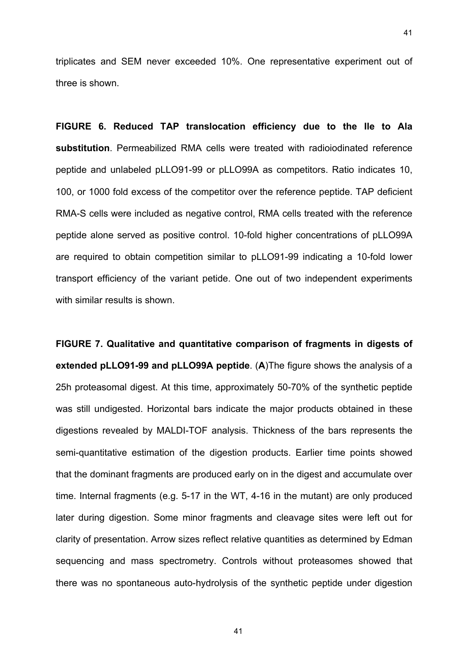triplicates and SEM never exceeded 10%. One representative experiment out of three is shown.

41

**FIGURE 6. Reduced TAP translocation efficiency due to the Ile to Ala substitution**. Permeabilized RMA cells were treated with radioiodinated reference peptide and unlabeled pLLO91-99 or pLLO99A as competitors. Ratio indicates 10, 100, or 1000 fold excess of the competitor over the reference peptide. TAP deficient RMA-S cells were included as negative control, RMA cells treated with the reference peptide alone served as positive control. 10-fold higher concentrations of pLLO99A are required to obtain competition similar to pLLO91-99 indicating a 10-fold lower transport efficiency of the variant petide. One out of two independent experiments with similar results is shown.

**FIGURE 7. Qualitative and quantitative comparison of fragments in digests of extended pLLO91-99 and pLLO99A peptide**. (**A**)The figure shows the analysis of a 25h proteasomal digest. At this time, approximately 50-70% of the synthetic peptide was still undigested. Horizontal bars indicate the major products obtained in these digestions revealed by MALDI-TOF analysis. Thickness of the bars represents the semi-quantitative estimation of the digestion products. Earlier time points showed that the dominant fragments are produced early on in the digest and accumulate over time. Internal fragments (e.g. 5-17 in the WT, 4-16 in the mutant) are only produced later during digestion. Some minor fragments and cleavage sites were left out for clarity of presentation. Arrow sizes reflect relative quantities as determined by Edman sequencing and mass spectrometry. Controls without proteasomes showed that there was no spontaneous auto-hydrolysis of the synthetic peptide under digestion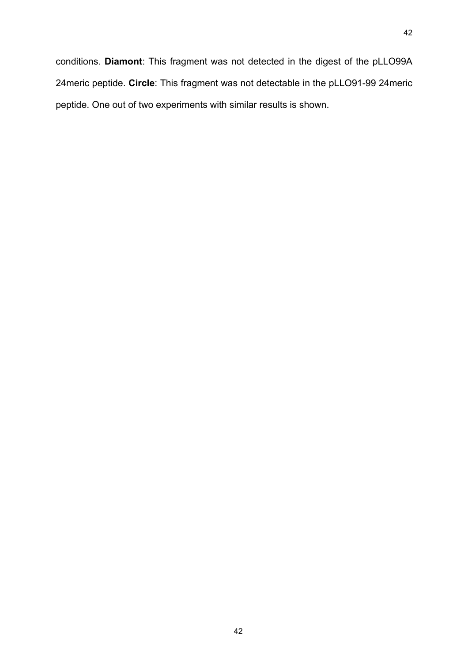conditions. **Diamont**: This fragment was not detected in the digest of the pLLO99A 24meric peptide. **Circle**: This fragment was not detectable in the pLLO91-99 24meric peptide. One out of two experiments with similar results is shown.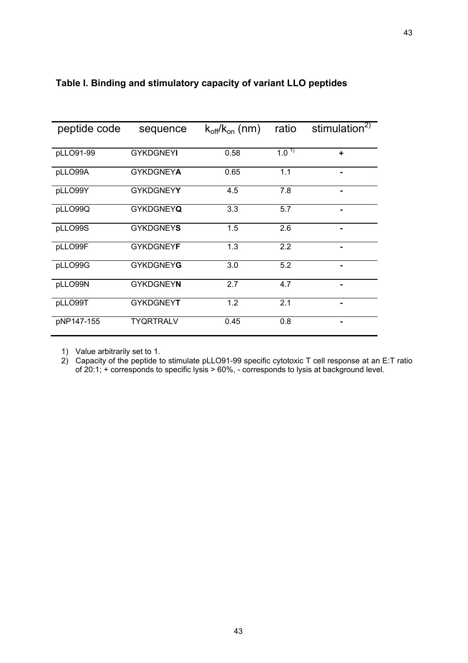| peptide code | sequence         | $k_{off}/k_{on}$ (nm) | ratio      | stimulation $2$ |
|--------------|------------------|-----------------------|------------|-----------------|
|              |                  |                       |            |                 |
| pLLO91-99    | <b>GYKDGNEYI</b> | 0.58                  | $1.0^{11}$ | ÷               |
|              |                  |                       |            |                 |
| pLLO99A      | <b>GYKDGNEYA</b> | 0.65                  | 1.1        |                 |
|              |                  |                       |            |                 |
| pLLO99Y      | <b>GYKDGNEYY</b> | 4.5                   | 7.8        |                 |
|              |                  |                       |            |                 |
| pLLO99Q      | <b>GYKDGNEYQ</b> | 3.3                   | 5.7        |                 |
|              |                  |                       |            |                 |
| pLLO99S      | <b>GYKDGNEYS</b> | 1.5                   | 2.6        | ۰               |
|              |                  |                       |            |                 |
| pLLO99F      | <b>GYKDGNEYF</b> | 1.3                   | 2.2        | ۰               |
|              |                  |                       |            |                 |
| pLLO99G      | <b>GYKDGNEYG</b> | 3.0                   | 5.2        |                 |
|              |                  |                       |            |                 |
| pLLO99N      | <b>GYKDGNEYN</b> | 2.7                   | 4.7        |                 |
|              |                  |                       |            |                 |
| pLLO99T      | <b>GYKDGNEYT</b> | 1.2                   | 2.1        |                 |
|              |                  |                       |            |                 |
| pNP147-155   | <b>TYQRTRALV</b> | 0.45                  | 0.8        | ۰               |
|              |                  |                       |            |                 |

# **Table I. Binding and stimulatory capacity of variant LLO peptides**

1) Value arbitrarily set to 1.

2) Capacity of the peptide to stimulate pLLO91-99 specific cytotoxic T cell response at an E:T ratio of 20:1; + corresponds to specific lysis > 60%, - corresponds to lysis at background level.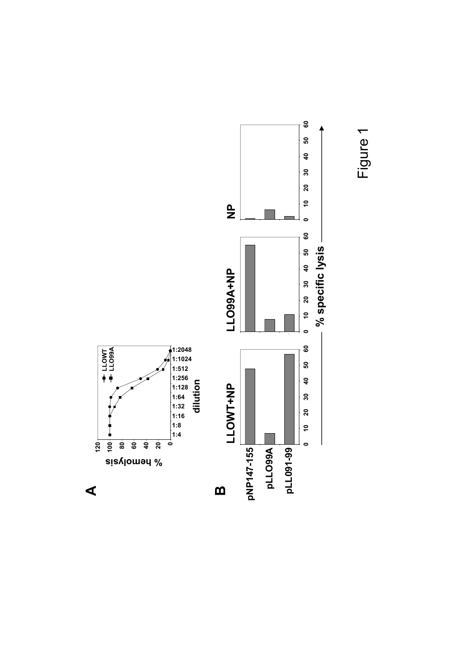



**A**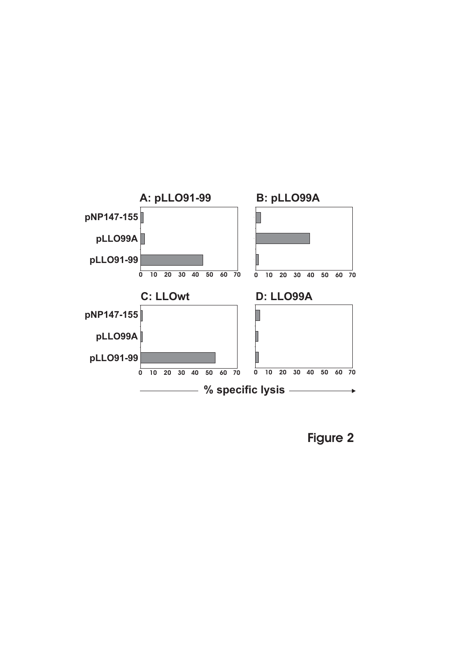

**Figure 2**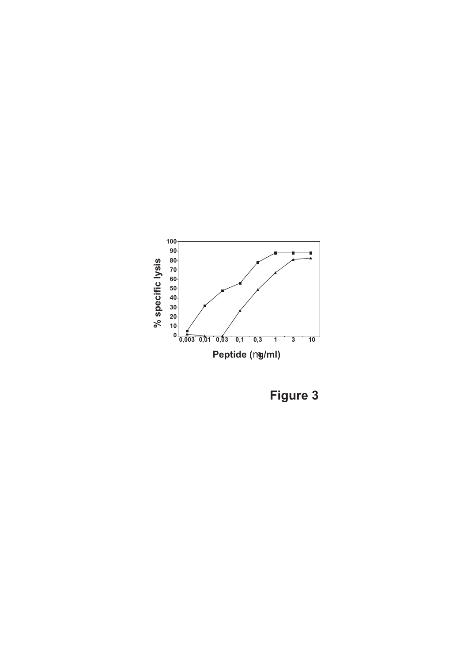

**Figure 3**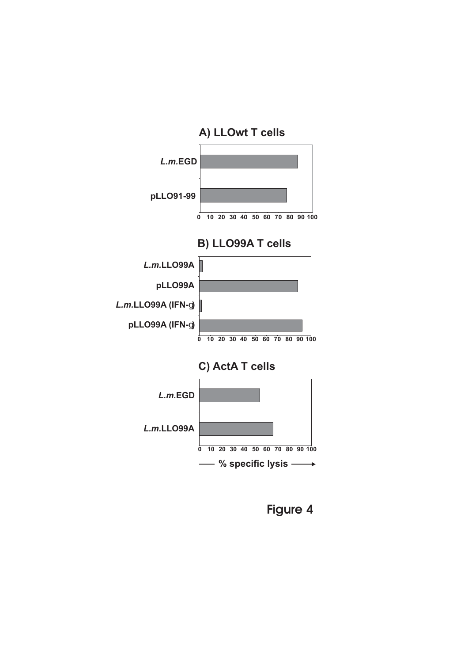

**Figure 4**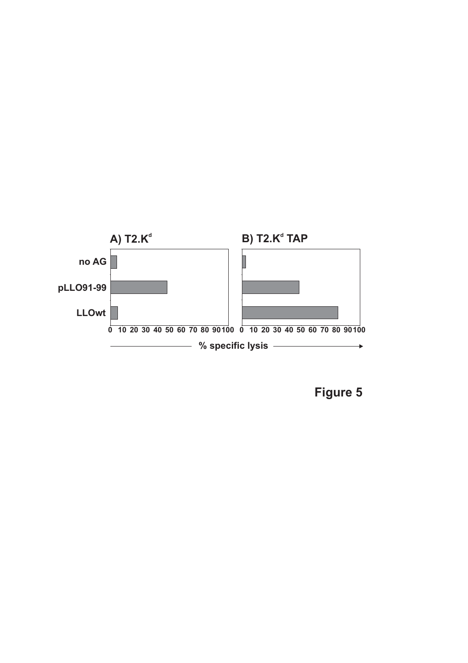

**Figure 5**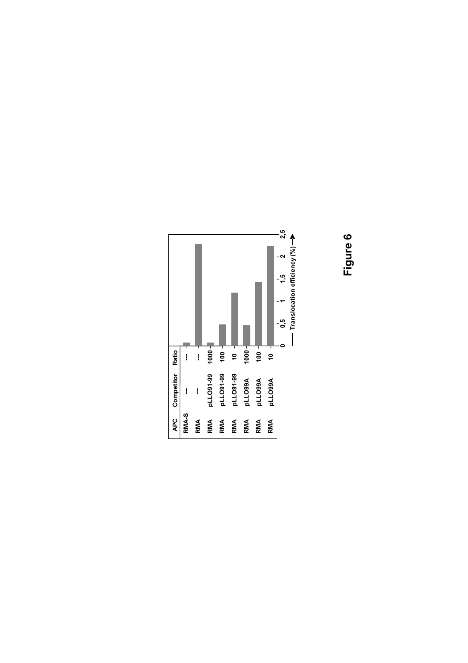# **Figure 6**